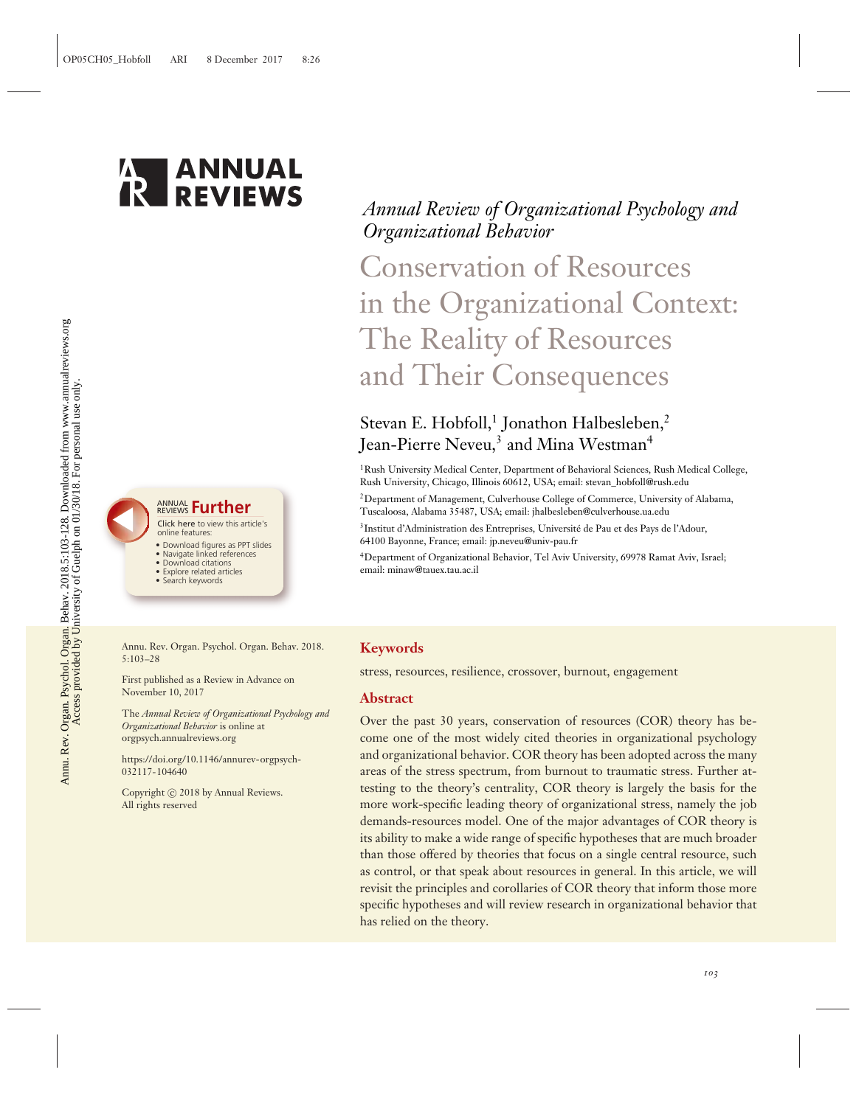



#### Click here to view this article's online features: ANNUAL REVIEWS **[Further](http://www.annualreviews.org/doi/full/10.1146/annurev-orgpsych-032117-104640)**

• Download figures as PPT slides

- Navigate linked references • Download citations
- 

• Explore related articles • Search keywords

# *Annual Review of Organizational Psychology and Organizational Behavior*

Conservation of Resources in the Organizational Context: The Reality of Resources and Their Consequences

# Stevan E. Hobfoll,<sup>1</sup> Jonathon Halbesleben,<sup>2</sup> Jean-Pierre Neveu,<sup>3</sup> and Mina Westman<sup>4</sup>

<sup>1</sup>Rush University Medical Center, Department of Behavioral Sciences, Rush Medical College, Rush University, Chicago, Illinois 60612, USA; email: stevan\_hobfoll@rush.edu

2Department of Management, Culverhouse College of Commerce, University of Alabama, Tuscaloosa, Alabama 35487, USA; email: jhalbesleben@culverhouse.ua.edu

<sup>3</sup>Institut d'Administration des Entreprises, Université de Pau et des Pays de l'Adour, 64100 Bayonne, France; email: jp.neveu@univ-pau.fr

4Department of Organizational Behavior, Tel Aviv University, 69978 Ramat Aviv, Israel; email: minaw@tauex.tau.ac.il

Annu. Rev. Organ. Psychol. Organ. Behav. 2018. 5:103–28

First published as a Review in Advance on November 10, 2017

The *Annual Review of Organizational Psychology and Organizational Behavior* is online at orgpsych.annualreviews.org

[https://doi.org/10.1146/annurev-orgpsych-](https://doi.org/10.1146/annurev-orgpsych-032117-104640)[032117-104640](https://doi.org/10.1146/annurev-orgpsych-032117-104640)

Copyright © 2018 by Annual Reviews. All rights reserved

# **Keywords**

stress, resources, resilience, crossover, burnout, engagement

# **Abstract**

Over the past 30 years, conservation of resources (COR) theory has become one of the most widely cited theories in organizational psychology and organizational behavior. COR theory has been adopted across the many areas of the stress spectrum, from burnout to traumatic stress. Further attesting to the theory's centrality, COR theory is largely the basis for the more work-specific leading theory of organizational stress, namely the job demands-resources model. One of the major advantages of COR theory is its ability to make a wide range of specific hypotheses that are much broader than those offered by theories that focus on a single central resource, such as control, or that speak about resources in general. In this article, we will revisit the principles and corollaries of COR theory that inform those more specific hypotheses and will review research in organizational behavior that has relied on the theory.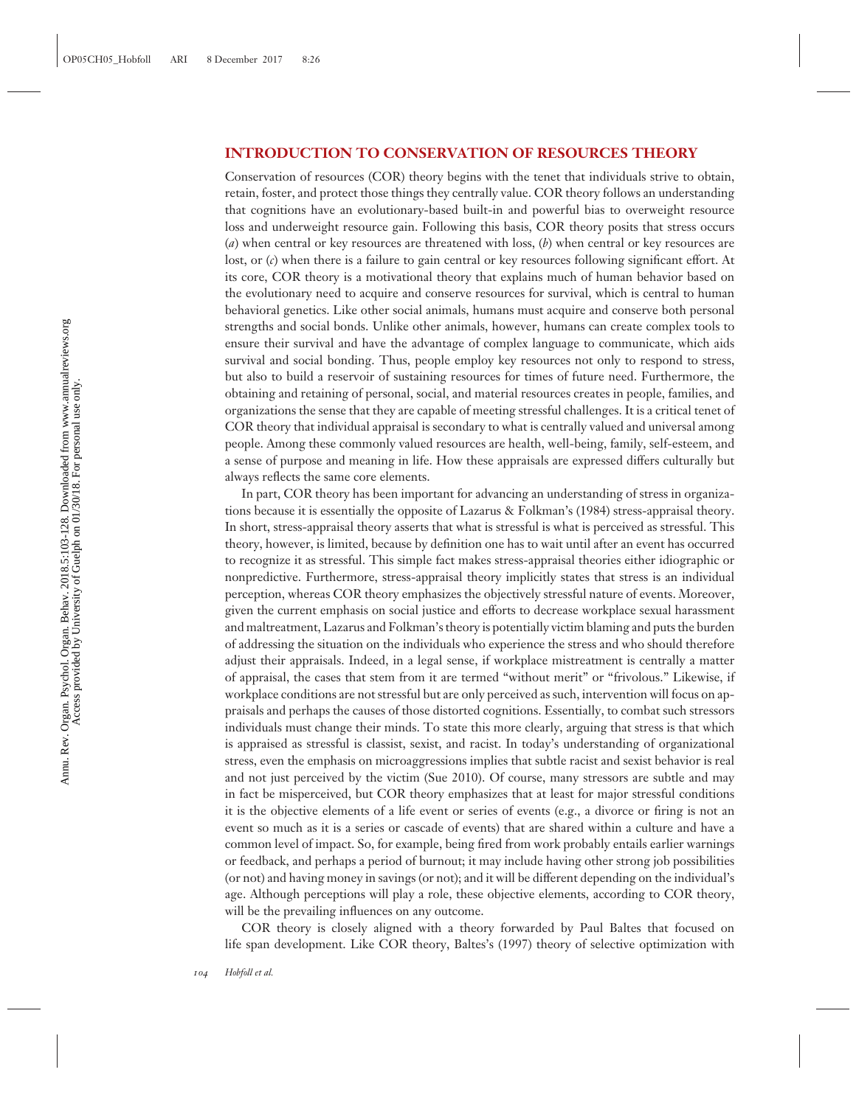# **INTRODUCTION TO CONSERVATION OF RESOURCES THEORY**

Conservation of resources (COR) theory begins with the tenet that individuals strive to obtain, retain, foster, and protect those things they centrally value. COR theory follows an understanding that cognitions have an evolutionary-based built-in and powerful bias to overweight resource loss and underweight resource gain. Following this basis, COR theory posits that stress occurs (*a*) when central or key resources are threatened with loss, (*b*) when central or key resources are lost, or (*c*) when there is a failure to gain central or key resources following significant effort. At its core, COR theory is a motivational theory that explains much of human behavior based on the evolutionary need to acquire and conserve resources for survival, which is central to human behavioral genetics. Like other social animals, humans must acquire and conserve both personal strengths and social bonds. Unlike other animals, however, humans can create complex tools to ensure their survival and have the advantage of complex language to communicate, which aids survival and social bonding. Thus, people employ key resources not only to respond to stress, but also to build a reservoir of sustaining resources for times of future need. Furthermore, the obtaining and retaining of personal, social, and material resources creates in people, families, and organizations the sense that they are capable of meeting stressful challenges. It is a critical tenet of COR theory that individual appraisal is secondary to what is centrally valued and universal among people. Among these commonly valued resources are health, well-being, family, self-esteem, and a sense of purpose and meaning in life. How these appraisals are expressed differs culturally but always reflects the same core elements.

In part, COR theory has been important for advancing an understanding of stress in organizations because it is essentially the opposite of Lazarus & Folkman's (1984) stress-appraisal theory. In short, stress-appraisal theory asserts that what is stressful is what is perceived as stressful. This theory, however, is limited, because by definition one has to wait until after an event has occurred to recognize it as stressful. This simple fact makes stress-appraisal theories either idiographic or nonpredictive. Furthermore, stress-appraisal theory implicitly states that stress is an individual perception, whereas COR theory emphasizes the objectively stressful nature of events. Moreover, given the current emphasis on social justice and efforts to decrease workplace sexual harassment and maltreatment, Lazarus and Folkman's theory is potentially victim blaming and puts the burden of addressing the situation on the individuals who experience the stress and who should therefore adjust their appraisals. Indeed, in a legal sense, if workplace mistreatment is centrally a matter of appraisal, the cases that stem from it are termed "without merit" or "frivolous." Likewise, if workplace conditions are not stressful but are only perceived as such, intervention will focus on appraisals and perhaps the causes of those distorted cognitions. Essentially, to combat such stressors individuals must change their minds. To state this more clearly, arguing that stress is that which is appraised as stressful is classist, sexist, and racist. In today's understanding of organizational stress, even the emphasis on microaggressions implies that subtle racist and sexist behavior is real and not just perceived by the victim (Sue 2010). Of course, many stressors are subtle and may in fact be misperceived, but COR theory emphasizes that at least for major stressful conditions it is the objective elements of a life event or series of events (e.g., a divorce or firing is not an event so much as it is a series or cascade of events) that are shared within a culture and have a common level of impact. So, for example, being fired from work probably entails earlier warnings or feedback, and perhaps a period of burnout; it may include having other strong job possibilities (or not) and having money in savings (or not); and it will be different depending on the individual's age. Although perceptions will play a role, these objective elements, according to COR theory, will be the prevailing influences on any outcome.

COR theory is closely aligned with a theory forwarded by Paul Baltes that focused on life span development. Like COR theory, Baltes's (1997) theory of selective optimization with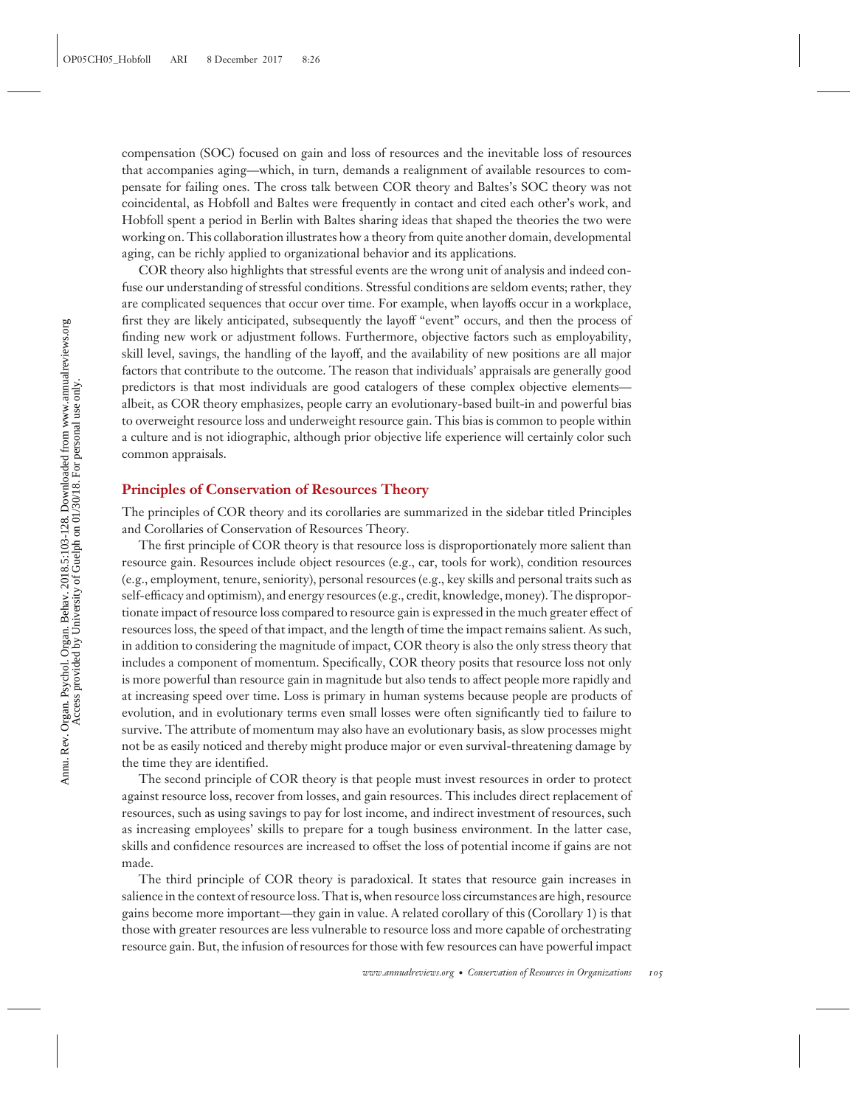compensation (SOC) focused on gain and loss of resources and the inevitable loss of resources that accompanies aging—which, in turn, demands a realignment of available resources to compensate for failing ones. The cross talk between COR theory and Baltes's SOC theory was not coincidental, as Hobfoll and Baltes were frequently in contact and cited each other's work, and Hobfoll spent a period in Berlin with Baltes sharing ideas that shaped the theories the two were working on. This collaboration illustrates how a theory from quite another domain, developmental aging, can be richly applied to organizational behavior and its applications.

COR theory also highlights that stressful events are the wrong unit of analysis and indeed confuse our understanding of stressful conditions. Stressful conditions are seldom events; rather, they are complicated sequences that occur over time. For example, when layoffs occur in a workplace, first they are likely anticipated, subsequently the layoff "event" occurs, and then the process of finding new work or adjustment follows. Furthermore, objective factors such as employability, skill level, savings, the handling of the layoff, and the availability of new positions are all major factors that contribute to the outcome. The reason that individuals' appraisals are generally good predictors is that most individuals are good catalogers of these complex objective elements albeit, as COR theory emphasizes, people carry an evolutionary-based built-in and powerful bias to overweight resource loss and underweight resource gain. This bias is common to people within a culture and is not idiographic, although prior objective life experience will certainly color such common appraisals.

#### **Principles of Conservation of Resources Theory**

The principles of COR theory and its corollaries are summarized in the sidebar titled Principles and Corollaries of Conservation of Resources Theory.

The first principle of COR theory is that resource loss is disproportionately more salient than resource gain. Resources include object resources (e.g., car, tools for work), condition resources (e.g., employment, tenure, seniority), personal resources (e.g., key skills and personal traits such as self-efficacy and optimism), and energy resources (e.g., credit, knowledge, money). The disproportionate impact of resource loss compared to resource gain is expressed in the much greater effect of resources loss, the speed of that impact, and the length of time the impact remains salient. As such, in addition to considering the magnitude of impact, COR theory is also the only stress theory that includes a component of momentum. Specifically, COR theory posits that resource loss not only is more powerful than resource gain in magnitude but also tends to affect people more rapidly and at increasing speed over time. Loss is primary in human systems because people are products of evolution, and in evolutionary terms even small losses were often significantly tied to failure to survive. The attribute of momentum may also have an evolutionary basis, as slow processes might not be as easily noticed and thereby might produce major or even survival-threatening damage by the time they are identified.

The second principle of COR theory is that people must invest resources in order to protect against resource loss, recover from losses, and gain resources. This includes direct replacement of resources, such as using savings to pay for lost income, and indirect investment of resources, such as increasing employees' skills to prepare for a tough business environment. In the latter case, skills and confidence resources are increased to offset the loss of potential income if gains are not made.

The third principle of COR theory is paradoxical. It states that resource gain increases in salience in the context of resource loss. That is, when resource loss circumstances are high, resource gains become more important—they gain in value. A related corollary of this (Corollary 1) is that those with greater resources are less vulnerable to resource loss and more capable of orchestrating resource gain. But, the infusion of resources for those with few resources can have powerful impact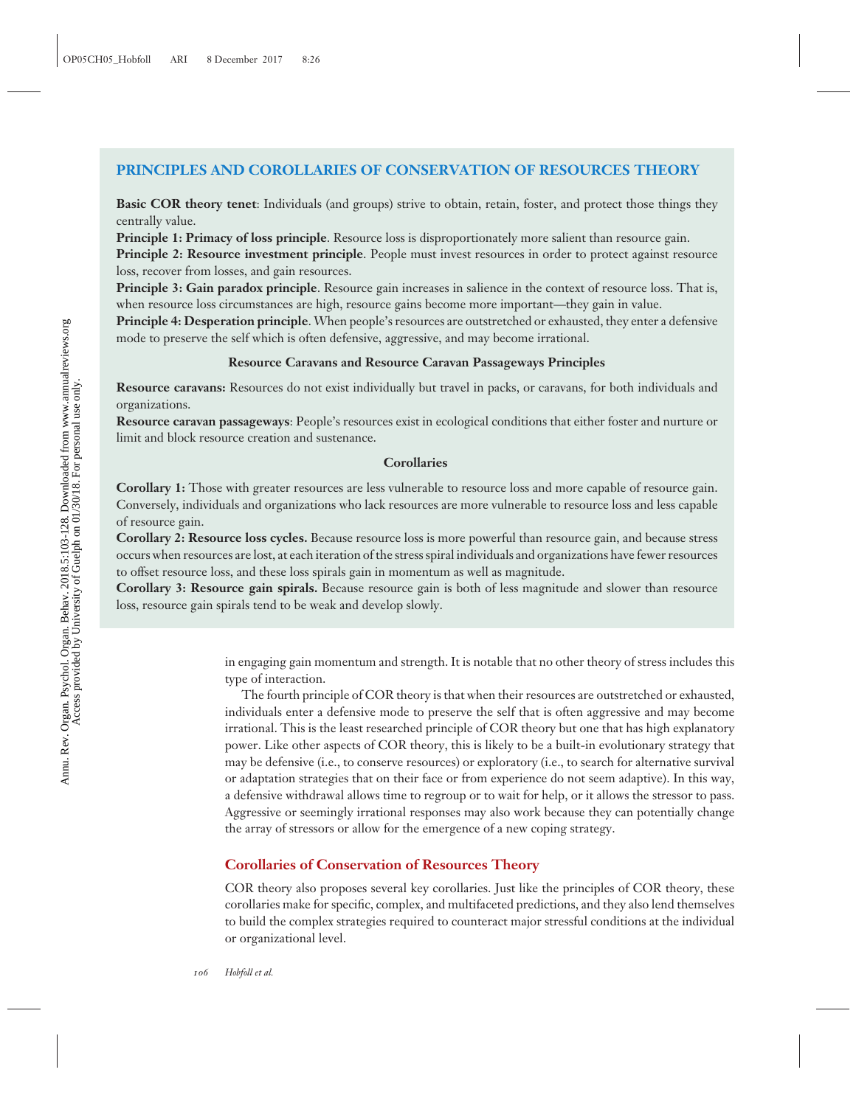# **PRINCIPLES AND COROLLARIES OF CONSERVATION OF RESOURCES THEORY**

**Basic COR theory tenet**: Individuals (and groups) strive to obtain, retain, foster, and protect those things they centrally value.

**Principle 1: Primacy of loss principle**. Resource loss is disproportionately more salient than resource gain.

**Principle 2: Resource investment principle**. People must invest resources in order to protect against resource loss, recover from losses, and gain resources.

**Principle 3: Gain paradox principle**. Resource gain increases in salience in the context of resource loss. That is, when resource loss circumstances are high, resource gains become more important—they gain in value.

**Principle 4: Desperation principle**. When people's resources are outstretched or exhausted, they enter a defensive mode to preserve the self which is often defensive, aggressive, and may become irrational.

#### **Resource Caravans and Resource Caravan Passageways Principles**

**Resource caravans:** Resources do not exist individually but travel in packs, or caravans, for both individuals and organizations.

**Resource caravan passageways**: People's resources exist in ecological conditions that either foster and nurture or limit and block resource creation and sustenance.

#### **Corollaries**

**Corollary 1:** Those with greater resources are less vulnerable to resource loss and more capable of resource gain. Conversely, individuals and organizations who lack resources are more vulnerable to resource loss and less capable of resource gain.

**Corollary 2: Resource loss cycles.** Because resource loss is more powerful than resource gain, and because stress occurs when resources are lost, at each iteration of the stress spiral individuals and organizations have fewer resources to offset resource loss, and these loss spirals gain in momentum as well as magnitude.

**Corollary 3: Resource gain spirals.** Because resource gain is both of less magnitude and slower than resource loss, resource gain spirals tend to be weak and develop slowly.

> in engaging gain momentum and strength. It is notable that no other theory of stress includes this type of interaction.

> The fourth principle of COR theory is that when their resources are outstretched or exhausted, individuals enter a defensive mode to preserve the self that is often aggressive and may become irrational. This is the least researched principle of COR theory but one that has high explanatory power. Like other aspects of COR theory, this is likely to be a built-in evolutionary strategy that may be defensive (i.e., to conserve resources) or exploratory (i.e., to search for alternative survival or adaptation strategies that on their face or from experience do not seem adaptive). In this way, a defensive withdrawal allows time to regroup or to wait for help, or it allows the stressor to pass. Aggressive or seemingly irrational responses may also work because they can potentially change the array of stressors or allow for the emergence of a new coping strategy.

#### **Corollaries of Conservation of Resources Theory**

COR theory also proposes several key corollaries. Just like the principles of COR theory, these corollaries make for specific, complex, and multifaceted predictions, and they also lend themselves to build the complex strategies required to counteract major stressful conditions at the individual or organizational level.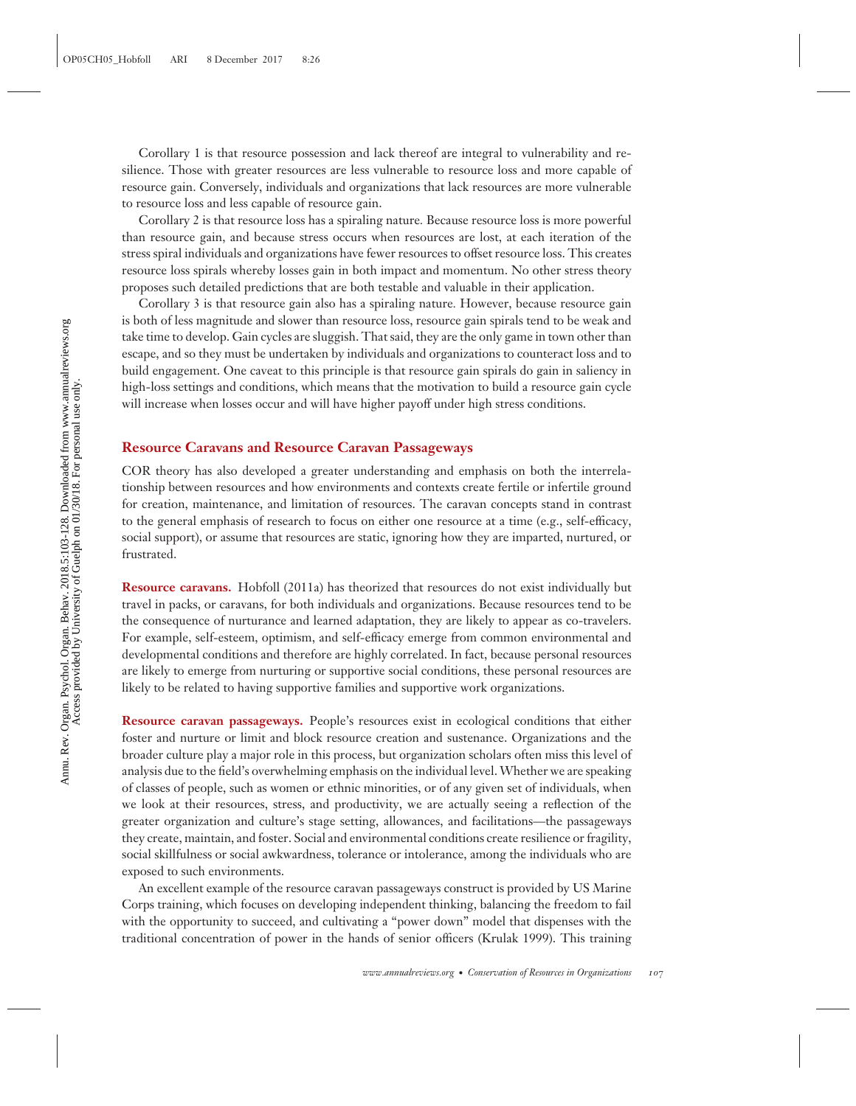Corollary 1 is that resource possession and lack thereof are integral to vulnerability and resilience. Those with greater resources are less vulnerable to resource loss and more capable of resource gain. Conversely, individuals and organizations that lack resources are more vulnerable to resource loss and less capable of resource gain.

Corollary 2 is that resource loss has a spiraling nature*.* Because resource loss is more powerful than resource gain, and because stress occurs when resources are lost, at each iteration of the stress spiral individuals and organizations have fewer resources to offset resource loss. This creates resource loss spirals whereby losses gain in both impact and momentum. No other stress theory proposes such detailed predictions that are both testable and valuable in their application.

Corollary 3 is that resource gain also has a spiraling nature*.* However, because resource gain is both of less magnitude and slower than resource loss, resource gain spirals tend to be weak and take time to develop. Gain cycles are sluggish. That said, they are the only game in town other than escape, and so they must be undertaken by individuals and organizations to counteract loss and to build engagement. One caveat to this principle is that resource gain spirals do gain in saliency in high-loss settings and conditions, which means that the motivation to build a resource gain cycle will increase when losses occur and will have higher payoff under high stress conditions.

#### **Resource Caravans and Resource Caravan Passageways**

COR theory has also developed a greater understanding and emphasis on both the interrelationship between resources and how environments and contexts create fertile or infertile ground for creation, maintenance, and limitation of resources. The caravan concepts stand in contrast to the general emphasis of research to focus on either one resource at a time (e.g., self-efficacy, social support), or assume that resources are static, ignoring how they are imparted, nurtured, or frustrated.

**Resource caravans.** Hobfoll (2011a) has theorized that resources do not exist individually but travel in packs, or caravans, for both individuals and organizations. Because resources tend to be the consequence of nurturance and learned adaptation, they are likely to appear as co-travelers. For example, self-esteem, optimism, and self-efficacy emerge from common environmental and developmental conditions and therefore are highly correlated. In fact, because personal resources are likely to emerge from nurturing or supportive social conditions, these personal resources are likely to be related to having supportive families and supportive work organizations.

**Resource caravan passageways.** People's resources exist in ecological conditions that either foster and nurture or limit and block resource creation and sustenance. Organizations and the broader culture play a major role in this process, but organization scholars often miss this level of analysis due to the field's overwhelming emphasis on the individual level.Whether we are speaking of classes of people, such as women or ethnic minorities, or of any given set of individuals, when we look at their resources, stress, and productivity, we are actually seeing a reflection of the greater organization and culture's stage setting, allowances, and facilitations—the passageways they create, maintain, and foster. Social and environmental conditions create resilience or fragility, social skillfulness or social awkwardness, tolerance or intolerance, among the individuals who are exposed to such environments.

An excellent example of the resource caravan passageways construct is provided by US Marine Corps training, which focuses on developing independent thinking, balancing the freedom to fail with the opportunity to succeed, and cultivating a "power down" model that dispenses with the traditional concentration of power in the hands of senior officers (Krulak 1999). This training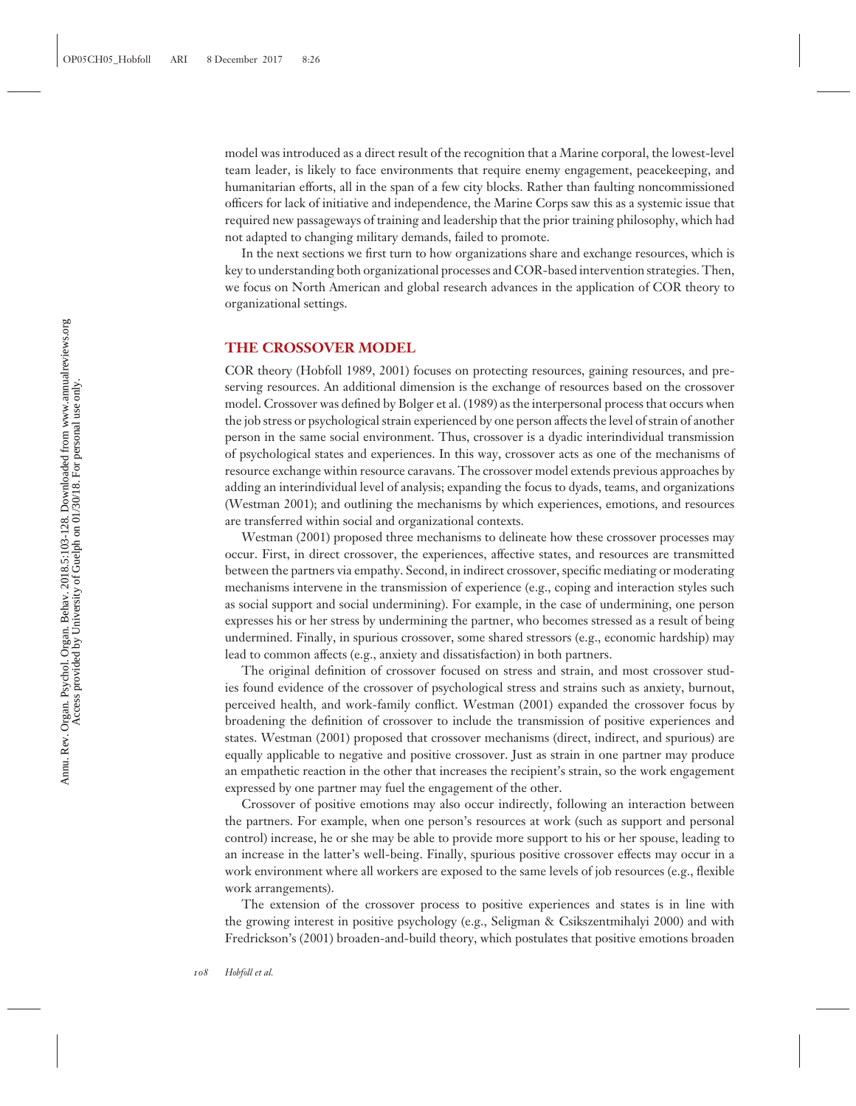model was introduced as a direct result of the recognition that a Marine corporal, the lowest-level team leader, is likely to face environments that require enemy engagement, peacekeeping, and humanitarian efforts, all in the span of a few city blocks. Rather than faulting noncommissioned officers for lack of initiative and independence, the Marine Corps saw this as a systemic issue that required new passageways of training and leadership that the prior training philosophy, which had not adapted to changing military demands, failed to promote.

In the next sections we first turn to how organizations share and exchange resources, which is key to understanding both organizational processes and COR-based intervention strategies. Then, we focus on North American and global research advances in the application of COR theory to organizational settings.

# **THE CROSSOVER MODEL**

COR theory (Hobfoll 1989, 2001) focuses on protecting resources, gaining resources, and preserving resources. An additional dimension is the exchange of resources based on the crossover model. Crossover was defined by Bolger et al. (1989) as the interpersonal process that occurs when the job stress or psychological strain experienced by one person affects the level of strain of another person in the same social environment. Thus, crossover is a dyadic interindividual transmission of psychological states and experiences. In this way, crossover acts as one of the mechanisms of resource exchange within resource caravans. The crossover model extends previous approaches by adding an interindividual level of analysis; expanding the focus to dyads, teams, and organizations (Westman 2001); and outlining the mechanisms by which experiences, emotions, and resources are transferred within social and organizational contexts.

Westman (2001) proposed three mechanisms to delineate how these crossover processes may occur. First, in direct crossover, the experiences, affective states, and resources are transmitted between the partners via empathy. Second, in indirect crossover, specific mediating or moderating mechanisms intervene in the transmission of experience (e.g., coping and interaction styles such as social support and social undermining). For example, in the case of undermining, one person expresses his or her stress by undermining the partner, who becomes stressed as a result of being undermined. Finally, in spurious crossover, some shared stressors (e.g., economic hardship) may lead to common affects (e.g., anxiety and dissatisfaction) in both partners.

The original definition of crossover focused on stress and strain, and most crossover studies found evidence of the crossover of psychological stress and strains such as anxiety, burnout, perceived health, and work-family conflict. Westman (2001) expanded the crossover focus by broadening the definition of crossover to include the transmission of positive experiences and states. Westman (2001) proposed that crossover mechanisms (direct, indirect, and spurious) are equally applicable to negative and positive crossover. Just as strain in one partner may produce an empathetic reaction in the other that increases the recipient's strain, so the work engagement expressed by one partner may fuel the engagement of the other.

Crossover of positive emotions may also occur indirectly, following an interaction between the partners. For example, when one person's resources at work (such as support and personal control) increase, he or she may be able to provide more support to his or her spouse, leading to an increase in the latter's well-being. Finally, spurious positive crossover effects may occur in a work environment where all workers are exposed to the same levels of job resources (e.g., flexible work arrangements).

The extension of the crossover process to positive experiences and states is in line with the growing interest in positive psychology (e.g., Seligman & Csikszentmihalyi 2000) and with Fredrickson's (2001) broaden-and-build theory, which postulates that positive emotions broaden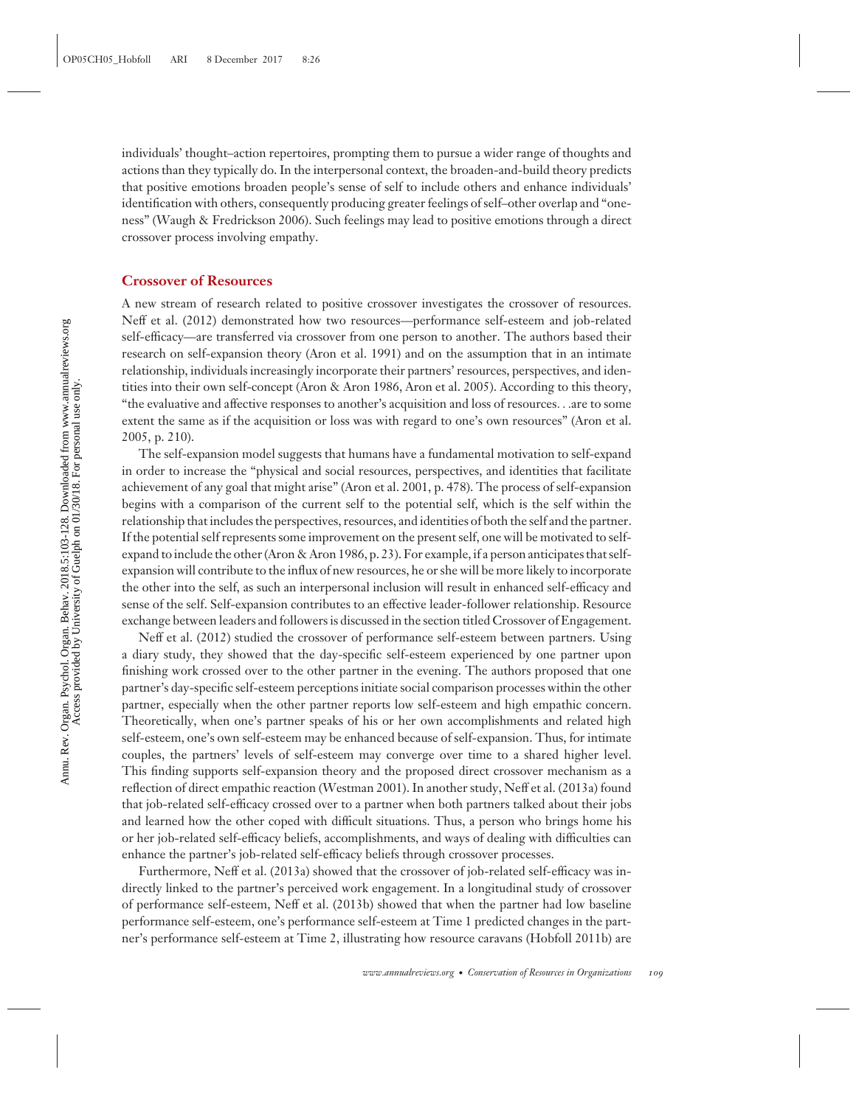individuals' thought–action repertoires, prompting them to pursue a wider range of thoughts and actions than they typically do. In the interpersonal context, the broaden-and-build theory predicts that positive emotions broaden people's sense of self to include others and enhance individuals' identification with others, consequently producing greater feelings of self–other overlap and "oneness" (Waugh & Fredrickson 2006). Such feelings may lead to positive emotions through a direct crossover process involving empathy.

# **Crossover of Resources**

A new stream of research related to positive crossover investigates the crossover of resources. Neff et al. (2012) demonstrated how two resources—performance self-esteem and job-related self-efficacy—are transferred via crossover from one person to another. The authors based their research on self-expansion theory (Aron et al. 1991) and on the assumption that in an intimate relationship, individuals increasingly incorporate their partners' resources, perspectives, and identities into their own self-concept (Aron & Aron 1986, Aron et al. 2005). According to this theory, "the evaluative and affective responses to another's acquisition and loss of resources*...*are to some extent the same as if the acquisition or loss was with regard to one's own resources" (Aron et al. 2005, p. 210).

The self-expansion model suggests that humans have a fundamental motivation to self-expand in order to increase the "physical and social resources, perspectives, and identities that facilitate achievement of any goal that might arise" (Aron et al. 2001, p. 478). The process of self-expansion begins with a comparison of the current self to the potential self, which is the self within the relationship that includes the perspectives, resources, and identities of both the self and the partner. If the potential self represents some improvement on the present self, one will be motivated to selfexpand to include the other (Aron & Aron 1986, p. 23). For example, if a person anticipates that selfexpansion will contribute to the influx of new resources, he or she will be more likely to incorporate the other into the self, as such an interpersonal inclusion will result in enhanced self-efficacy and sense of the self. Self-expansion contributes to an effective leader-follower relationship. Resource exchange between leaders and followers is discussed in the section titled Crossover of Engagement.

Neff et al. (2012) studied the crossover of performance self-esteem between partners. Using a diary study, they showed that the day-specific self-esteem experienced by one partner upon finishing work crossed over to the other partner in the evening. The authors proposed that one partner's day-specific self-esteem perceptions initiate social comparison processes within the other partner, especially when the other partner reports low self-esteem and high empathic concern. Theoretically, when one's partner speaks of his or her own accomplishments and related high self-esteem, one's own self-esteem may be enhanced because of self-expansion. Thus, for intimate couples, the partners' levels of self-esteem may converge over time to a shared higher level. This finding supports self-expansion theory and the proposed direct crossover mechanism as a reflection of direct empathic reaction (Westman 2001). In another study, Neff et al. (2013a) found that job-related self-efficacy crossed over to a partner when both partners talked about their jobs and learned how the other coped with difficult situations. Thus, a person who brings home his or her job-related self-efficacy beliefs, accomplishments, and ways of dealing with difficulties can enhance the partner's job-related self-efficacy beliefs through crossover processes.

Furthermore, Neff et al. (2013a) showed that the crossover of job-related self-efficacy was indirectly linked to the partner's perceived work engagement. In a longitudinal study of crossover of performance self-esteem, Neff et al. (2013b) showed that when the partner had low baseline performance self-esteem, one's performance self-esteem at Time 1 predicted changes in the partner's performance self-esteem at Time 2, illustrating how resource caravans (Hobfoll 2011b) are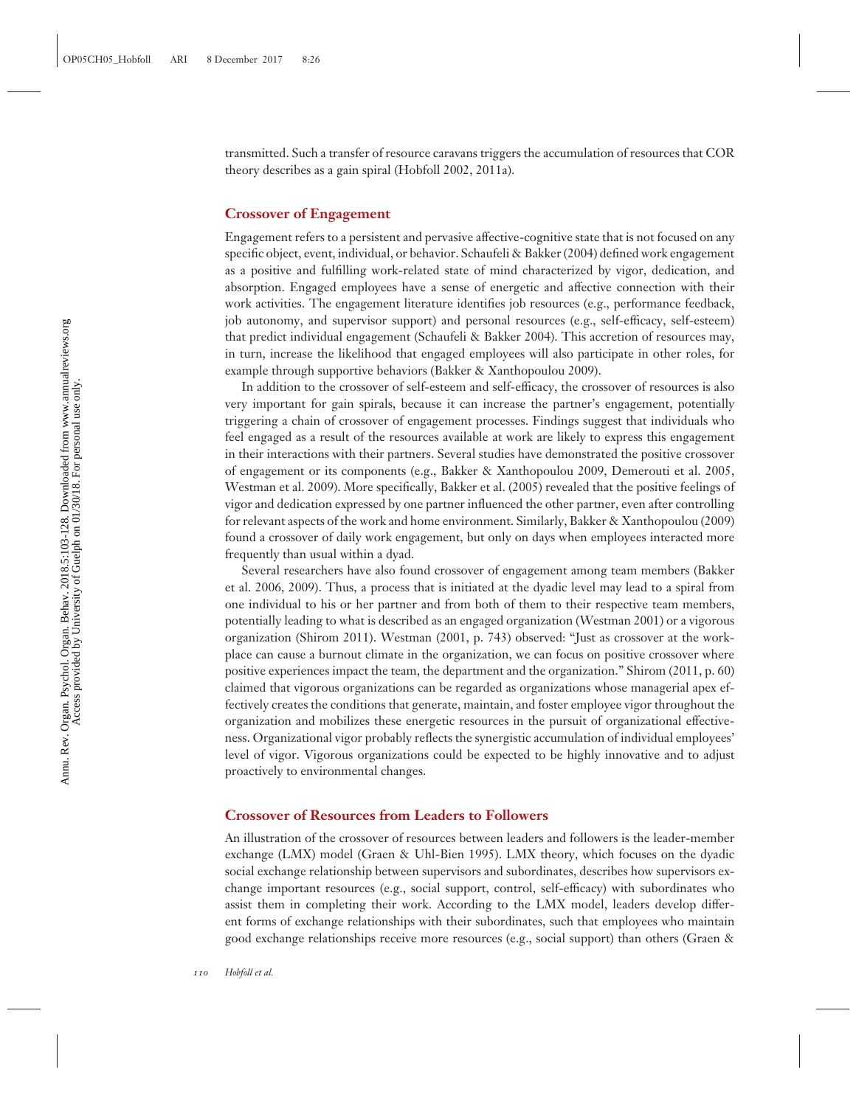transmitted. Such a transfer of resource caravans triggers the accumulation of resources that COR theory describes as a gain spiral (Hobfoll 2002, 2011a).

# **Crossover of Engagement**

Engagement refers to a persistent and pervasive affective-cognitive state that is not focused on any specific object, event, individual, or behavior. Schaufeli & Bakker (2004) defined work engagement as a positive and fulfilling work-related state of mind characterized by vigor, dedication, and absorption. Engaged employees have a sense of energetic and affective connection with their work activities. The engagement literature identifies job resources (e.g., performance feedback, job autonomy, and supervisor support) and personal resources (e.g., self-efficacy, self-esteem) that predict individual engagement (Schaufeli & Bakker 2004). This accretion of resources may, in turn, increase the likelihood that engaged employees will also participate in other roles, for example through supportive behaviors (Bakker & Xanthopoulou 2009).

In addition to the crossover of self-esteem and self-efficacy, the crossover of resources is also very important for gain spirals, because it can increase the partner's engagement, potentially triggering a chain of crossover of engagement processes. Findings suggest that individuals who feel engaged as a result of the resources available at work are likely to express this engagement in their interactions with their partners. Several studies have demonstrated the positive crossover of engagement or its components (e.g., Bakker & Xanthopoulou 2009, Demerouti et al. 2005, Westman et al. 2009). More specifically, Bakker et al. (2005) revealed that the positive feelings of vigor and dedication expressed by one partner influenced the other partner, even after controlling for relevant aspects of the work and home environment. Similarly, Bakker & Xanthopoulou (2009) found a crossover of daily work engagement, but only on days when employees interacted more frequently than usual within a dyad.

Several researchers have also found crossover of engagement among team members (Bakker et al. 2006, 2009). Thus, a process that is initiated at the dyadic level may lead to a spiral from one individual to his or her partner and from both of them to their respective team members, potentially leading to what is described as an engaged organization (Westman 2001) or a vigorous organization (Shirom 2011). Westman (2001, p. 743) observed: "Just as crossover at the workplace can cause a burnout climate in the organization, we can focus on positive crossover where positive experiences impact the team, the department and the organization." Shirom (2011, p. 60) claimed that vigorous organizations can be regarded as organizations whose managerial apex effectively creates the conditions that generate, maintain, and foster employee vigor throughout the organization and mobilizes these energetic resources in the pursuit of organizational effectiveness. Organizational vigor probably reflects the synergistic accumulation of individual employees' level of vigor. Vigorous organizations could be expected to be highly innovative and to adjust proactively to environmental changes.

# **Crossover of Resources from Leaders to Followers**

An illustration of the crossover of resources between leaders and followers is the leader-member exchange (LMX) model (Graen & Uhl-Bien 1995). LMX theory, which focuses on the dyadic social exchange relationship between supervisors and subordinates, describes how supervisors exchange important resources (e.g., social support, control, self-efficacy) with subordinates who assist them in completing their work. According to the LMX model, leaders develop different forms of exchange relationships with their subordinates, such that employees who maintain good exchange relationships receive more resources (e.g., social support) than others (Graen &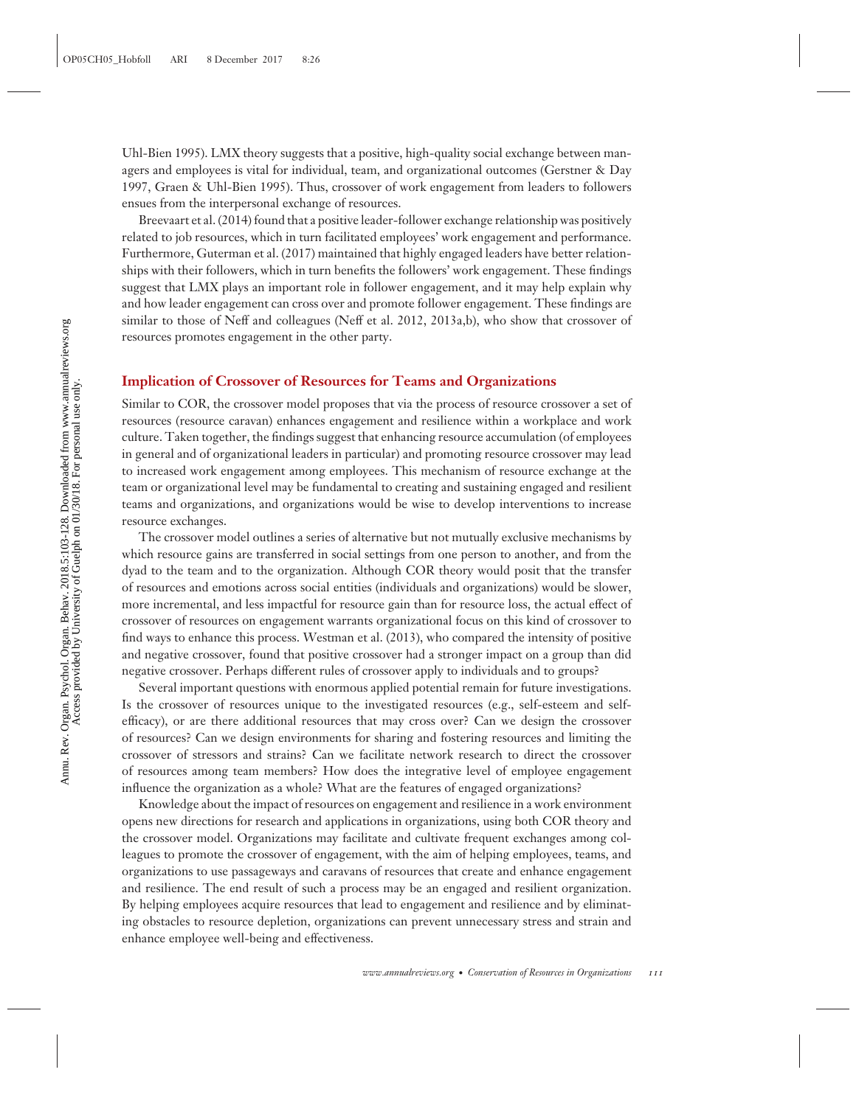Uhl-Bien 1995). LMX theory suggests that a positive, high-quality social exchange between managers and employees is vital for individual, team, and organizational outcomes (Gerstner & Day 1997, Graen & Uhl-Bien 1995). Thus, crossover of work engagement from leaders to followers ensues from the interpersonal exchange of resources.

Breevaart et al. (2014) found that a positive leader-follower exchange relationship was positively related to job resources, which in turn facilitated employees' work engagement and performance. Furthermore, Guterman et al. (2017) maintained that highly engaged leaders have better relationships with their followers, which in turn benefits the followers' work engagement. These findings suggest that LMX plays an important role in follower engagement, and it may help explain why and how leader engagement can cross over and promote follower engagement. These findings are similar to those of Neff and colleagues (Neff et al. 2012, 2013a,b), who show that crossover of resources promotes engagement in the other party.

#### **Implication of Crossover of Resources for Teams and Organizations**

Similar to COR, the crossover model proposes that via the process of resource crossover a set of resources (resource caravan) enhances engagement and resilience within a workplace and work culture. Taken together, the findings suggest that enhancing resource accumulation (of employees in general and of organizational leaders in particular) and promoting resource crossover may lead to increased work engagement among employees. This mechanism of resource exchange at the team or organizational level may be fundamental to creating and sustaining engaged and resilient teams and organizations, and organizations would be wise to develop interventions to increase resource exchanges.

The crossover model outlines a series of alternative but not mutually exclusive mechanisms by which resource gains are transferred in social settings from one person to another, and from the dyad to the team and to the organization. Although COR theory would posit that the transfer of resources and emotions across social entities (individuals and organizations) would be slower, more incremental, and less impactful for resource gain than for resource loss, the actual effect of crossover of resources on engagement warrants organizational focus on this kind of crossover to find ways to enhance this process. Westman et al. (2013), who compared the intensity of positive and negative crossover, found that positive crossover had a stronger impact on a group than did negative crossover. Perhaps different rules of crossover apply to individuals and to groups?

Several important questions with enormous applied potential remain for future investigations. Is the crossover of resources unique to the investigated resources (e.g., self-esteem and selfefficacy), or are there additional resources that may cross over? Can we design the crossover of resources? Can we design environments for sharing and fostering resources and limiting the crossover of stressors and strains? Can we facilitate network research to direct the crossover of resources among team members? How does the integrative level of employee engagement influence the organization as a whole? What are the features of engaged organizations?

Knowledge about the impact of resources on engagement and resilience in a work environment opens new directions for research and applications in organizations, using both COR theory and the crossover model. Organizations may facilitate and cultivate frequent exchanges among colleagues to promote the crossover of engagement, with the aim of helping employees, teams, and organizations to use passageways and caravans of resources that create and enhance engagement and resilience. The end result of such a process may be an engaged and resilient organization. By helping employees acquire resources that lead to engagement and resilience and by eliminating obstacles to resource depletion, organizations can prevent unnecessary stress and strain and enhance employee well-being and effectiveness.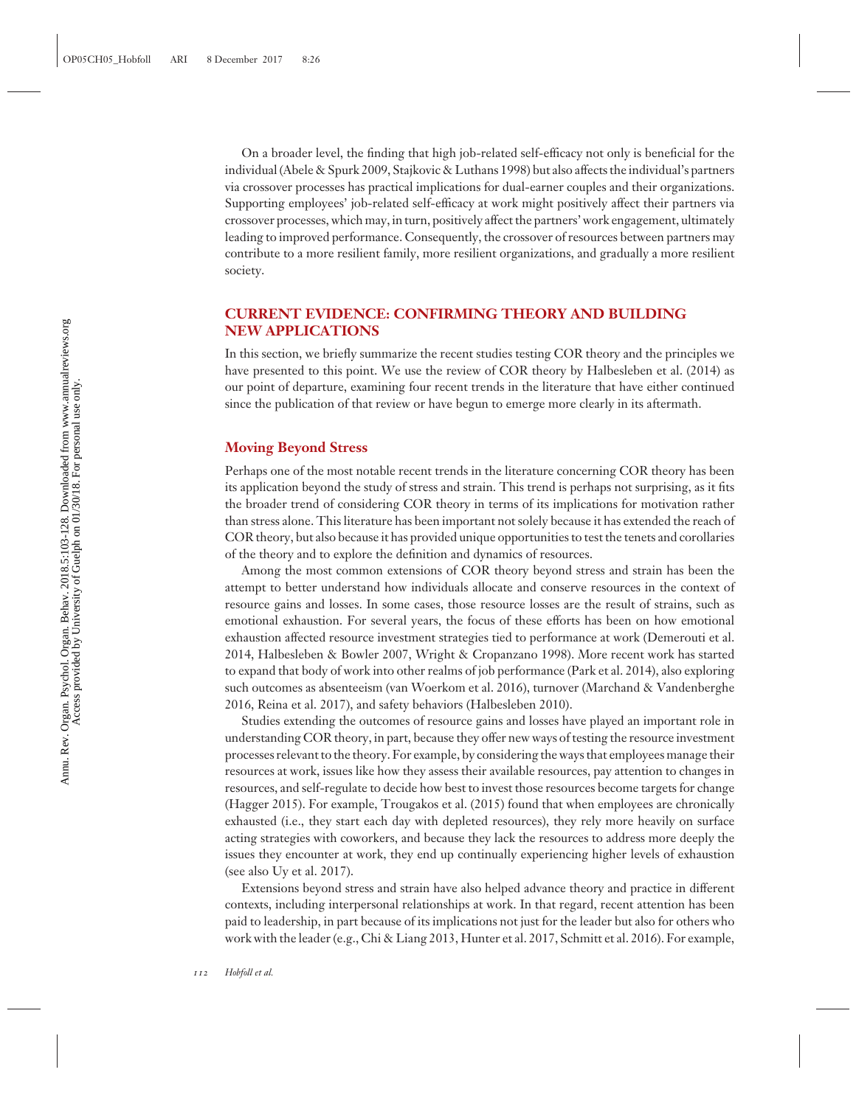On a broader level, the finding that high job-related self-efficacy not only is beneficial for the individual (Abele & Spurk 2009, Stajkovic & Luthans 1998) but also affects the individual's partners via crossover processes has practical implications for dual-earner couples and their organizations. Supporting employees' job-related self-efficacy at work might positively affect their partners via crossover processes, which may, in turn, positively affect the partners' work engagement, ultimately leading to improved performance. Consequently, the crossover of resources between partners may contribute to a more resilient family, more resilient organizations, and gradually a more resilient society.

# **CURRENT EVIDENCE: CONFIRMING THEORY AND BUILDING NEW APPLICATIONS**

In this section, we briefly summarize the recent studies testing COR theory and the principles we have presented to this point. We use the review of COR theory by Halbesleben et al. (2014) as our point of departure, examining four recent trends in the literature that have either continued since the publication of that review or have begun to emerge more clearly in its aftermath.

#### **Moving Beyond Stress**

Perhaps one of the most notable recent trends in the literature concerning COR theory has been its application beyond the study of stress and strain. This trend is perhaps not surprising, as it fits the broader trend of considering COR theory in terms of its implications for motivation rather than stress alone. This literature has been important not solely because it has extended the reach of COR theory, but also because it has provided unique opportunities to test the tenets and corollaries of the theory and to explore the definition and dynamics of resources.

Among the most common extensions of COR theory beyond stress and strain has been the attempt to better understand how individuals allocate and conserve resources in the context of resource gains and losses. In some cases, those resource losses are the result of strains, such as emotional exhaustion. For several years, the focus of these efforts has been on how emotional exhaustion affected resource investment strategies tied to performance at work (Demerouti et al. 2014, Halbesleben & Bowler 2007, Wright & Cropanzano 1998). More recent work has started to expand that body of work into other realms of job performance (Park et al. 2014), also exploring such outcomes as absenteeism (van Woerkom et al. 2016), turnover (Marchand & Vandenberghe 2016, Reina et al. 2017), and safety behaviors (Halbesleben 2010).

Studies extending the outcomes of resource gains and losses have played an important role in understanding COR theory, in part, because they offer new ways of testing the resource investment processes relevant to the theory. For example, by considering the ways that employees manage their resources at work, issues like how they assess their available resources, pay attention to changes in resources, and self-regulate to decide how best to invest those resources become targets for change (Hagger 2015). For example, Trougakos et al. (2015) found that when employees are chronically exhausted (i.e., they start each day with depleted resources), they rely more heavily on surface acting strategies with coworkers, and because they lack the resources to address more deeply the issues they encounter at work, they end up continually experiencing higher levels of exhaustion (see also Uy et al. 2017).

Extensions beyond stress and strain have also helped advance theory and practice in different contexts, including interpersonal relationships at work. In that regard, recent attention has been paid to leadership, in part because of its implications not just for the leader but also for others who work with the leader (e.g., Chi & Liang 2013, Hunter et al. 2017, Schmitt et al. 2016). For example,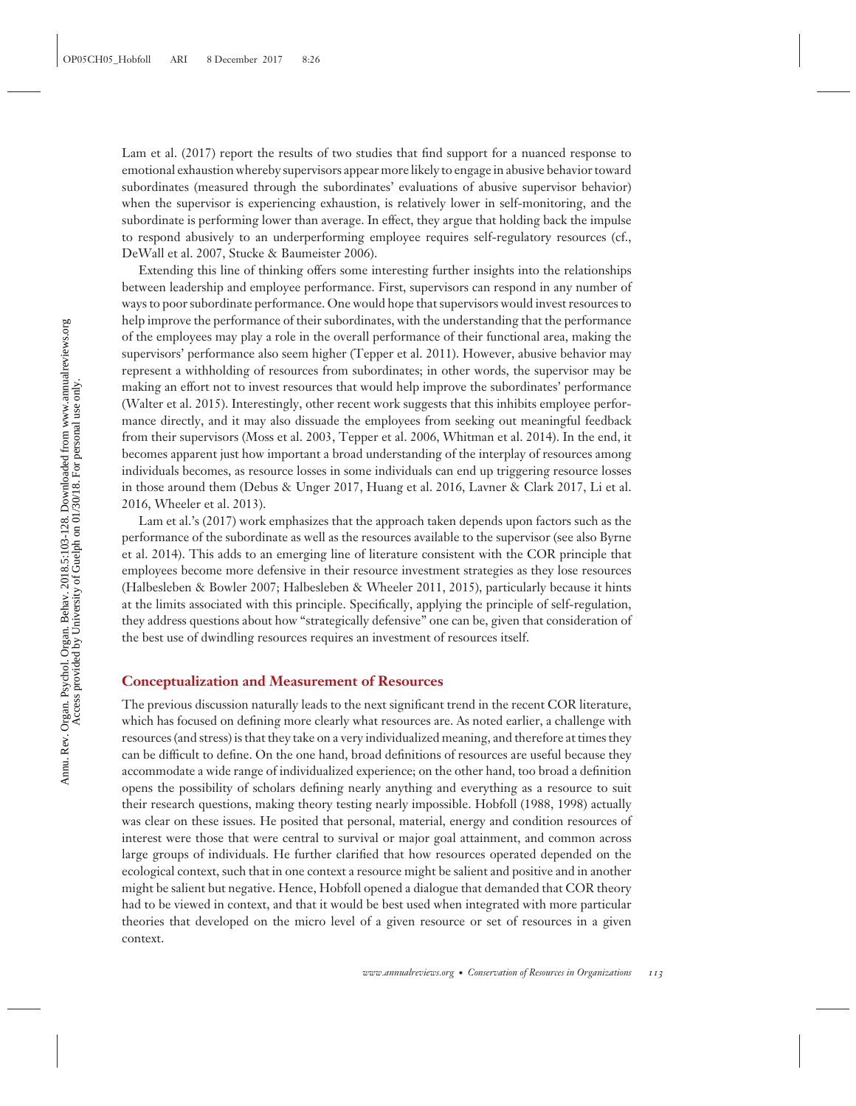Lam et al. (2017) report the results of two studies that find support for a nuanced response to emotional exhaustion whereby supervisors appear more likely to engage in abusive behavior toward subordinates (measured through the subordinates' evaluations of abusive supervisor behavior) when the supervisor is experiencing exhaustion, is relatively lower in self-monitoring, and the subordinate is performing lower than average. In effect, they argue that holding back the impulse to respond abusively to an underperforming employee requires self-regulatory resources (cf., DeWall et al. 2007, Stucke & Baumeister 2006).

Extending this line of thinking offers some interesting further insights into the relationships between leadership and employee performance. First, supervisors can respond in any number of ways to poor subordinate performance. One would hope that supervisors would invest resources to help improve the performance of their subordinates, with the understanding that the performance of the employees may play a role in the overall performance of their functional area, making the supervisors' performance also seem higher (Tepper et al. 2011). However, abusive behavior may represent a withholding of resources from subordinates; in other words, the supervisor may be making an effort not to invest resources that would help improve the subordinates' performance (Walter et al. 2015). Interestingly, other recent work suggests that this inhibits employee performance directly, and it may also dissuade the employees from seeking out meaningful feedback from their supervisors (Moss et al. 2003, Tepper et al. 2006, Whitman et al. 2014). In the end, it becomes apparent just how important a broad understanding of the interplay of resources among individuals becomes, as resource losses in some individuals can end up triggering resource losses in those around them (Debus & Unger 2017, Huang et al. 2016, Lavner & Clark 2017, Li et al. 2016, Wheeler et al. 2013).

Lam et al.'s (2017) work emphasizes that the approach taken depends upon factors such as the performance of the subordinate as well as the resources available to the supervisor (see also Byrne et al. 2014). This adds to an emerging line of literature consistent with the COR principle that employees become more defensive in their resource investment strategies as they lose resources (Halbesleben & Bowler 2007; Halbesleben & Wheeler 2011, 2015), particularly because it hints at the limits associated with this principle. Specifically, applying the principle of self-regulation, they address questions about how "strategically defensive" one can be, given that consideration of the best use of dwindling resources requires an investment of resources itself.

# **Conceptualization and Measurement of Resources**

The previous discussion naturally leads to the next significant trend in the recent COR literature, which has focused on defining more clearly what resources are. As noted earlier, a challenge with resources (and stress) is that they take on a very individualized meaning, and therefore at times they can be difficult to define. On the one hand, broad definitions of resources are useful because they accommodate a wide range of individualized experience; on the other hand, too broad a definition opens the possibility of scholars defining nearly anything and everything as a resource to suit their research questions, making theory testing nearly impossible. Hobfoll (1988, 1998) actually was clear on these issues. He posited that personal, material, energy and condition resources of interest were those that were central to survival or major goal attainment, and common across large groups of individuals. He further clarified that how resources operated depended on the ecological context, such that in one context a resource might be salient and positive and in another might be salient but negative. Hence, Hobfoll opened a dialogue that demanded that COR theory had to be viewed in context, and that it would be best used when integrated with more particular theories that developed on the micro level of a given resource or set of resources in a given context.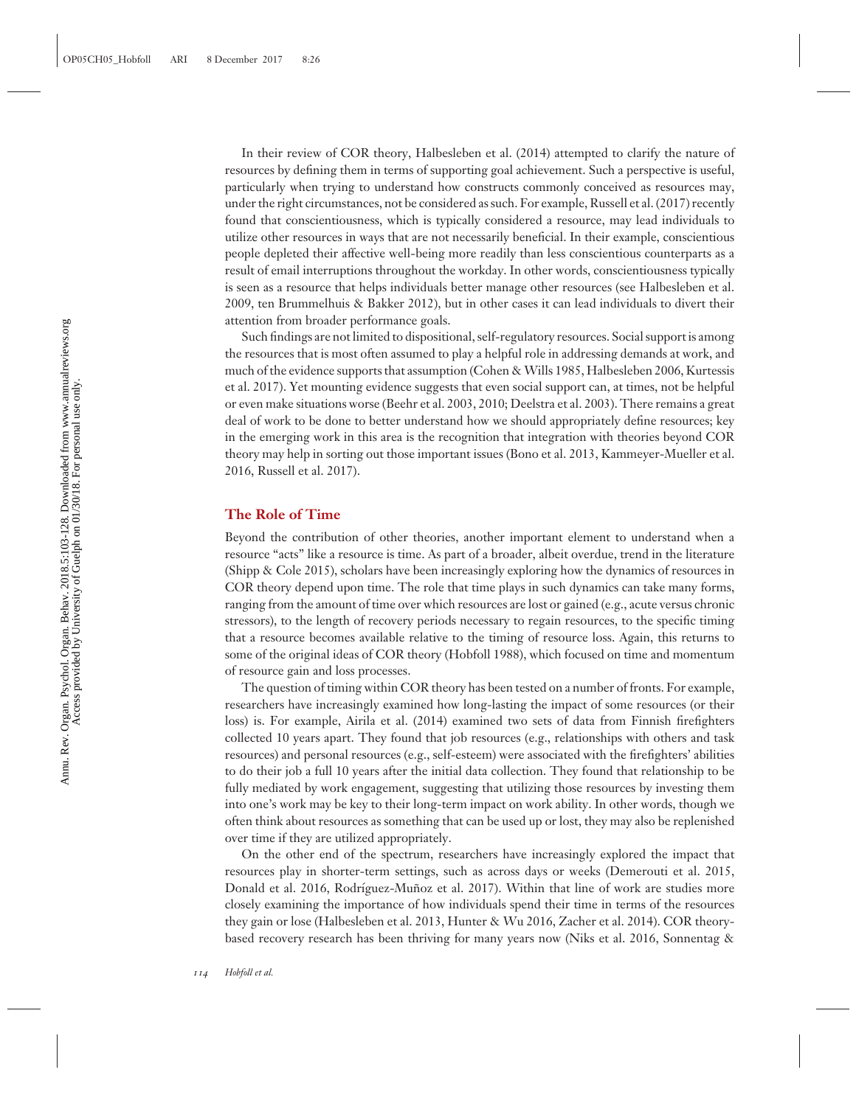In their review of COR theory, Halbesleben et al. (2014) attempted to clarify the nature of resources by defining them in terms of supporting goal achievement. Such a perspective is useful, particularly when trying to understand how constructs commonly conceived as resources may, under the right circumstances, not be considered as such. For example, Russell et al. (2017) recently found that conscientiousness, which is typically considered a resource, may lead individuals to utilize other resources in ways that are not necessarily beneficial. In their example, conscientious people depleted their affective well-being more readily than less conscientious counterparts as a result of email interruptions throughout the workday. In other words, conscientiousness typically is seen as a resource that helps individuals better manage other resources (see Halbesleben et al. 2009, ten Brummelhuis & Bakker 2012), but in other cases it can lead individuals to divert their attention from broader performance goals.

Such findings are not limited to dispositional, self-regulatory resources. Social support is among the resources that is most often assumed to play a helpful role in addressing demands at work, and much of the evidence supports that assumption (Cohen & Wills 1985, Halbesleben 2006, Kurtessis et al. 2017). Yet mounting evidence suggests that even social support can, at times, not be helpful or even make situations worse (Beehr et al. 2003, 2010; Deelstra et al. 2003). There remains a great deal of work to be done to better understand how we should appropriately define resources; key in the emerging work in this area is the recognition that integration with theories beyond COR theory may help in sorting out those important issues (Bono et al. 2013, Kammeyer-Mueller et al. 2016, Russell et al. 2017).

# **The Role of Time**

Beyond the contribution of other theories, another important element to understand when a resource "acts" like a resource is time. As part of a broader, albeit overdue, trend in the literature (Shipp & Cole 2015), scholars have been increasingly exploring how the dynamics of resources in COR theory depend upon time. The role that time plays in such dynamics can take many forms, ranging from the amount of time over which resources are lost or gained (e.g., acute versus chronic stressors), to the length of recovery periods necessary to regain resources, to the specific timing that a resource becomes available relative to the timing of resource loss. Again, this returns to some of the original ideas of COR theory (Hobfoll 1988), which focused on time and momentum of resource gain and loss processes.

The question of timing within COR theory has been tested on a number of fronts. For example, researchers have increasingly examined how long-lasting the impact of some resources (or their loss) is. For example, Airila et al. (2014) examined two sets of data from Finnish firefighters collected 10 years apart. They found that job resources (e.g., relationships with others and task resources) and personal resources (e.g., self-esteem) were associated with the firefighters' abilities to do their job a full 10 years after the initial data collection. They found that relationship to be fully mediated by work engagement, suggesting that utilizing those resources by investing them into one's work may be key to their long-term impact on work ability. In other words, though we often think about resources as something that can be used up or lost, they may also be replenished over time if they are utilized appropriately.

On the other end of the spectrum, researchers have increasingly explored the impact that resources play in shorter-term settings, such as across days or weeks (Demerouti et al. 2015, Donald et al. 2016, Rodríguez-Muñoz et al. 2017). Within that line of work are studies more closely examining the importance of how individuals spend their time in terms of the resources they gain or lose (Halbesleben et al. 2013, Hunter & Wu 2016, Zacher et al. 2014). COR theorybased recovery research has been thriving for many years now (Niks et al. 2016, Sonnentag &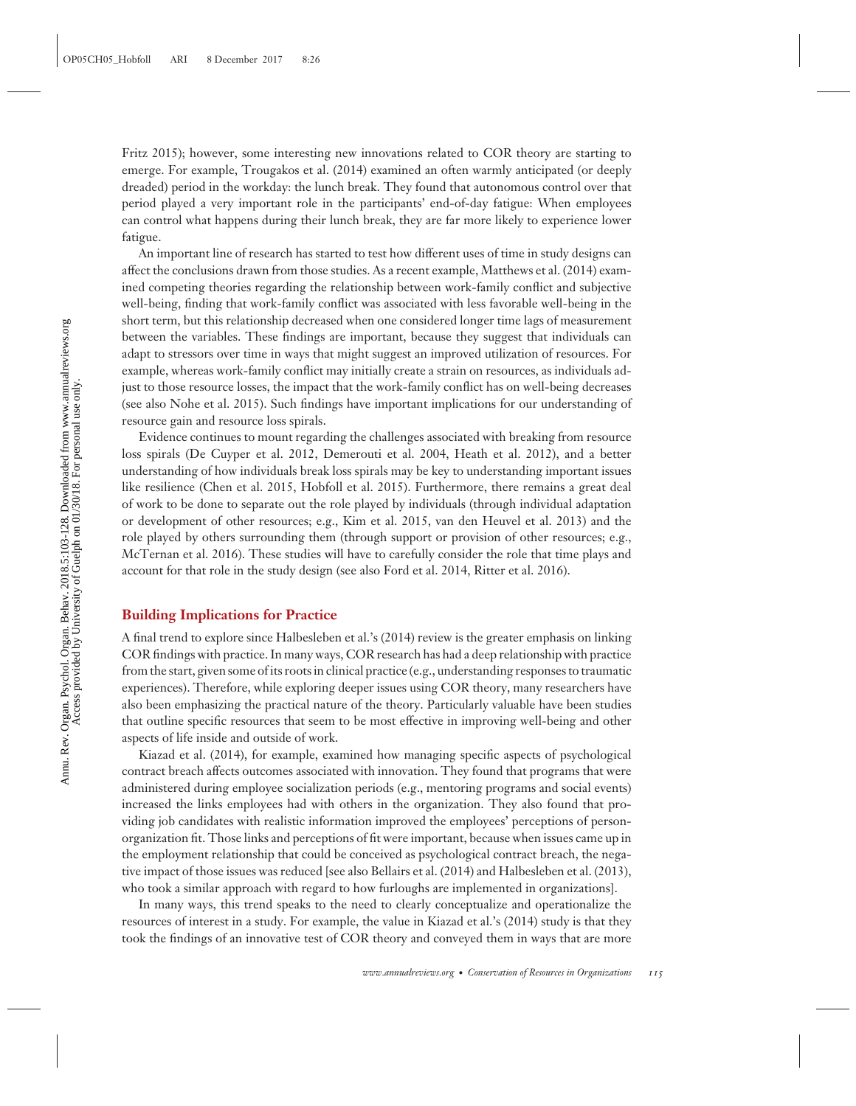Fritz 2015); however, some interesting new innovations related to COR theory are starting to emerge. For example, Trougakos et al. (2014) examined an often warmly anticipated (or deeply dreaded) period in the workday: the lunch break. They found that autonomous control over that period played a very important role in the participants' end-of-day fatigue: When employees can control what happens during their lunch break, they are far more likely to experience lower fatigue.

An important line of research has started to test how different uses of time in study designs can affect the conclusions drawn from those studies. As a recent example, Matthews et al. (2014) examined competing theories regarding the relationship between work-family conflict and subjective well-being, finding that work-family conflict was associated with less favorable well-being in the short term, but this relationship decreased when one considered longer time lags of measurement between the variables. These findings are important, because they suggest that individuals can adapt to stressors over time in ways that might suggest an improved utilization of resources. For example, whereas work-family conflict may initially create a strain on resources, as individuals adjust to those resource losses, the impact that the work-family conflict has on well-being decreases (see also Nohe et al. 2015). Such findings have important implications for our understanding of resource gain and resource loss spirals.

Evidence continues to mount regarding the challenges associated with breaking from resource loss spirals (De Cuyper et al. 2012, Demerouti et al. 2004, Heath et al. 2012), and a better understanding of how individuals break loss spirals may be key to understanding important issues like resilience (Chen et al. 2015, Hobfoll et al. 2015). Furthermore, there remains a great deal of work to be done to separate out the role played by individuals (through individual adaptation or development of other resources; e.g., Kim et al. 2015, van den Heuvel et al. 2013) and the role played by others surrounding them (through support or provision of other resources; e.g., McTernan et al. 2016). These studies will have to carefully consider the role that time plays and account for that role in the study design (see also Ford et al. 2014, Ritter et al. 2016).

# **Building Implications for Practice**

A final trend to explore since Halbesleben et al.'s (2014) review is the greater emphasis on linking COR findings with practice. In many ways, COR research has had a deep relationship with practice from the start, given some of its roots in clinical practice (e.g., understanding responses to traumatic experiences). Therefore, while exploring deeper issues using COR theory, many researchers have also been emphasizing the practical nature of the theory. Particularly valuable have been studies that outline specific resources that seem to be most effective in improving well-being and other aspects of life inside and outside of work.

Kiazad et al. (2014), for example, examined how managing specific aspects of psychological contract breach affects outcomes associated with innovation. They found that programs that were administered during employee socialization periods (e.g., mentoring programs and social events) increased the links employees had with others in the organization. They also found that providing job candidates with realistic information improved the employees' perceptions of personorganization fit. Those links and perceptions of fit were important, because when issues came up in the employment relationship that could be conceived as psychological contract breach, the negative impact of those issues was reduced [see also Bellairs et al. (2014) and Halbesleben et al. (2013), who took a similar approach with regard to how furloughs are implemented in organizations].

In many ways, this trend speaks to the need to clearly conceptualize and operationalize the resources of interest in a study. For example, the value in Kiazad et al.'s (2014) study is that they took the findings of an innovative test of COR theory and conveyed them in ways that are more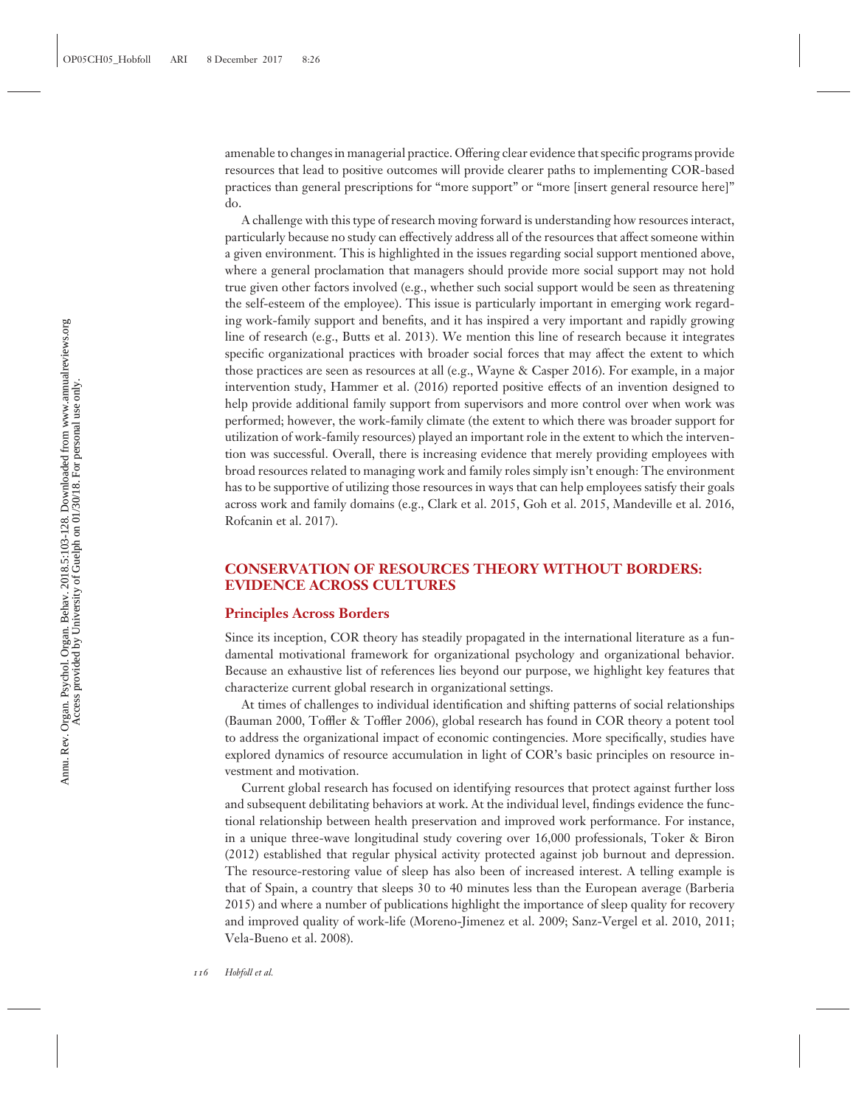amenable to changes in managerial practice. Offering clear evidence that specific programs provide resources that lead to positive outcomes will provide clearer paths to implementing COR-based practices than general prescriptions for "more support" or "more [insert general resource here]" do.

A challenge with this type of research moving forward is understanding how resources interact, particularly because no study can effectively address all of the resources that affect someone within a given environment. This is highlighted in the issues regarding social support mentioned above, where a general proclamation that managers should provide more social support may not hold true given other factors involved (e.g., whether such social support would be seen as threatening the self-esteem of the employee). This issue is particularly important in emerging work regarding work-family support and benefits, and it has inspired a very important and rapidly growing line of research (e.g., Butts et al. 2013). We mention this line of research because it integrates specific organizational practices with broader social forces that may affect the extent to which those practices are seen as resources at all (e.g., Wayne & Casper 2016). For example, in a major intervention study, Hammer et al. (2016) reported positive effects of an invention designed to help provide additional family support from supervisors and more control over when work was performed; however, the work-family climate (the extent to which there was broader support for utilization of work-family resources) played an important role in the extent to which the intervention was successful. Overall, there is increasing evidence that merely providing employees with broad resources related to managing work and family roles simply isn't enough: The environment has to be supportive of utilizing those resources in ways that can help employees satisfy their goals across work and family domains (e.g., Clark et al. 2015, Goh et al. 2015, Mandeville et al. 2016, Rofcanin et al. 2017).

# **CONSERVATION OF RESOURCES THEORY WITHOUT BORDERS: EVIDENCE ACROSS CULTURES**

#### **Principles Across Borders**

Since its inception, COR theory has steadily propagated in the international literature as a fundamental motivational framework for organizational psychology and organizational behavior. Because an exhaustive list of references lies beyond our purpose, we highlight key features that characterize current global research in organizational settings.

At times of challenges to individual identification and shifting patterns of social relationships (Bauman 2000, Toffler & Toffler 2006), global research has found in COR theory a potent tool to address the organizational impact of economic contingencies. More specifically, studies have explored dynamics of resource accumulation in light of COR's basic principles on resource investment and motivation.

Current global research has focused on identifying resources that protect against further loss and subsequent debilitating behaviors at work. At the individual level, findings evidence the functional relationship between health preservation and improved work performance. For instance, in a unique three-wave longitudinal study covering over 16,000 professionals, Toker & Biron (2012) established that regular physical activity protected against job burnout and depression. The resource-restoring value of sleep has also been of increased interest. A telling example is that of Spain, a country that sleeps 30 to 40 minutes less than the European average (Barberia 2015) and where a number of publications highlight the importance of sleep quality for recovery and improved quality of work-life (Moreno-Jimenez et al. 2009; Sanz-Vergel et al. 2010, 2011; Vela-Bueno et al. 2008).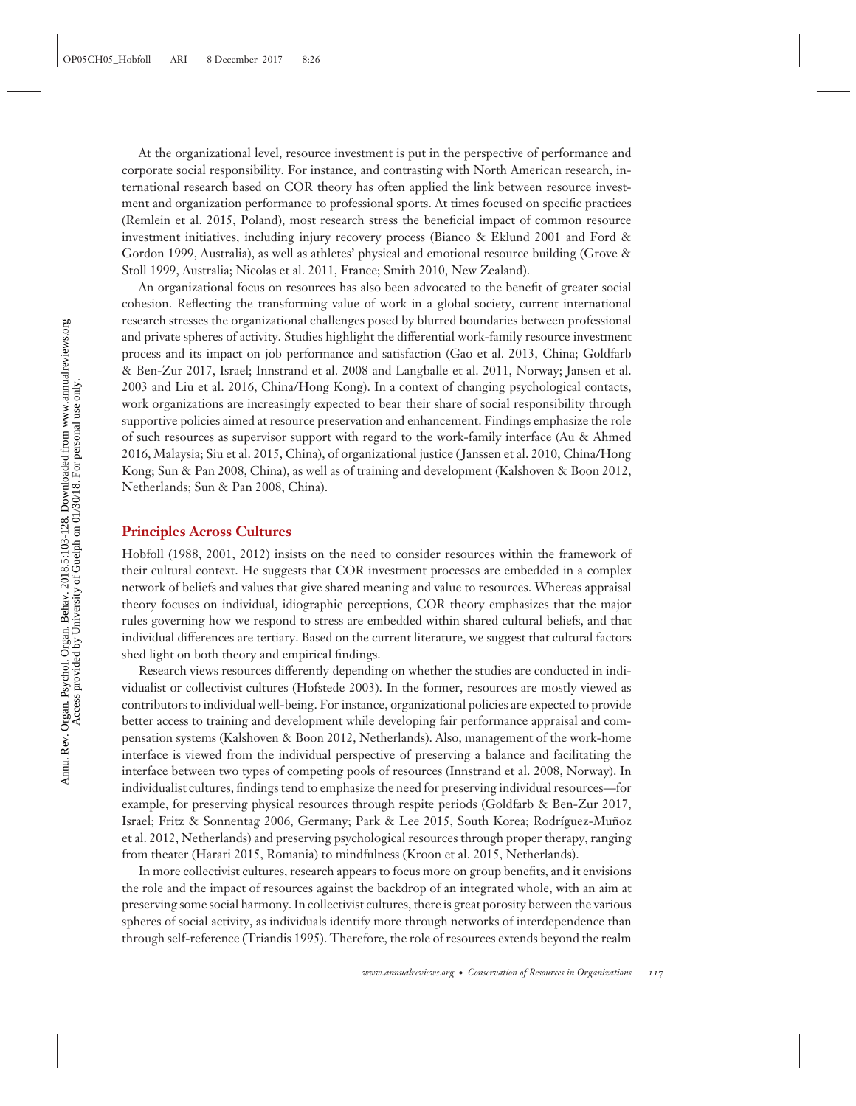At the organizational level, resource investment is put in the perspective of performance and corporate social responsibility. For instance, and contrasting with North American research, international research based on COR theory has often applied the link between resource investment and organization performance to professional sports. At times focused on specific practices (Remlein et al. 2015, Poland), most research stress the beneficial impact of common resource investment initiatives, including injury recovery process (Bianco & Eklund 2001 and Ford & Gordon 1999, Australia), as well as athletes' physical and emotional resource building (Grove & Stoll 1999, Australia; Nicolas et al. 2011, France; Smith 2010, New Zealand).

An organizational focus on resources has also been advocated to the benefit of greater social cohesion. Reflecting the transforming value of work in a global society, current international research stresses the organizational challenges posed by blurred boundaries between professional and private spheres of activity. Studies highlight the differential work-family resource investment process and its impact on job performance and satisfaction (Gao et al. 2013, China; Goldfarb & Ben-Zur 2017, Israel; Innstrand et al. 2008 and Langballe et al. 2011, Norway; Jansen et al. 2003 and Liu et al. 2016, China/Hong Kong). In a context of changing psychological contacts, work organizations are increasingly expected to bear their share of social responsibility through supportive policies aimed at resource preservation and enhancement. Findings emphasize the role of such resources as supervisor support with regard to the work-family interface (Au & Ahmed 2016, Malaysia; Siu et al. 2015, China), of organizational justice ( Janssen et al. 2010, China/Hong Kong; Sun & Pan 2008, China), as well as of training and development (Kalshoven & Boon 2012, Netherlands; Sun & Pan 2008, China).

# **Principles Across Cultures**

Hobfoll (1988, 2001, 2012) insists on the need to consider resources within the framework of their cultural context. He suggests that COR investment processes are embedded in a complex network of beliefs and values that give shared meaning and value to resources. Whereas appraisal theory focuses on individual, idiographic perceptions, COR theory emphasizes that the major rules governing how we respond to stress are embedded within shared cultural beliefs, and that individual differences are tertiary. Based on the current literature, we suggest that cultural factors shed light on both theory and empirical findings.

Research views resources differently depending on whether the studies are conducted in individualist or collectivist cultures (Hofstede 2003). In the former, resources are mostly viewed as contributors to individual well-being. For instance, organizational policies are expected to provide better access to training and development while developing fair performance appraisal and compensation systems (Kalshoven & Boon 2012, Netherlands). Also, management of the work-home interface is viewed from the individual perspective of preserving a balance and facilitating the interface between two types of competing pools of resources (Innstrand et al. 2008, Norway). In individualist cultures, findings tend to emphasize the need for preserving individual resources—for example, for preserving physical resources through respite periods (Goldfarb & Ben-Zur 2017, Israel; Fritz & Sonnentag 2006, Germany; Park & Lee 2015, South Korea; Rodríguez-Muñoz et al. 2012, Netherlands) and preserving psychological resources through proper therapy, ranging from theater (Harari 2015, Romania) to mindfulness (Kroon et al. 2015, Netherlands).

In more collectivist cultures, research appears to focus more on group benefits, and it envisions the role and the impact of resources against the backdrop of an integrated whole, with an aim at preserving some social harmony. In collectivist cultures, there is great porosity between the various spheres of social activity, as individuals identify more through networks of interdependence than through self-reference (Triandis 1995). Therefore, the role of resources extends beyond the realm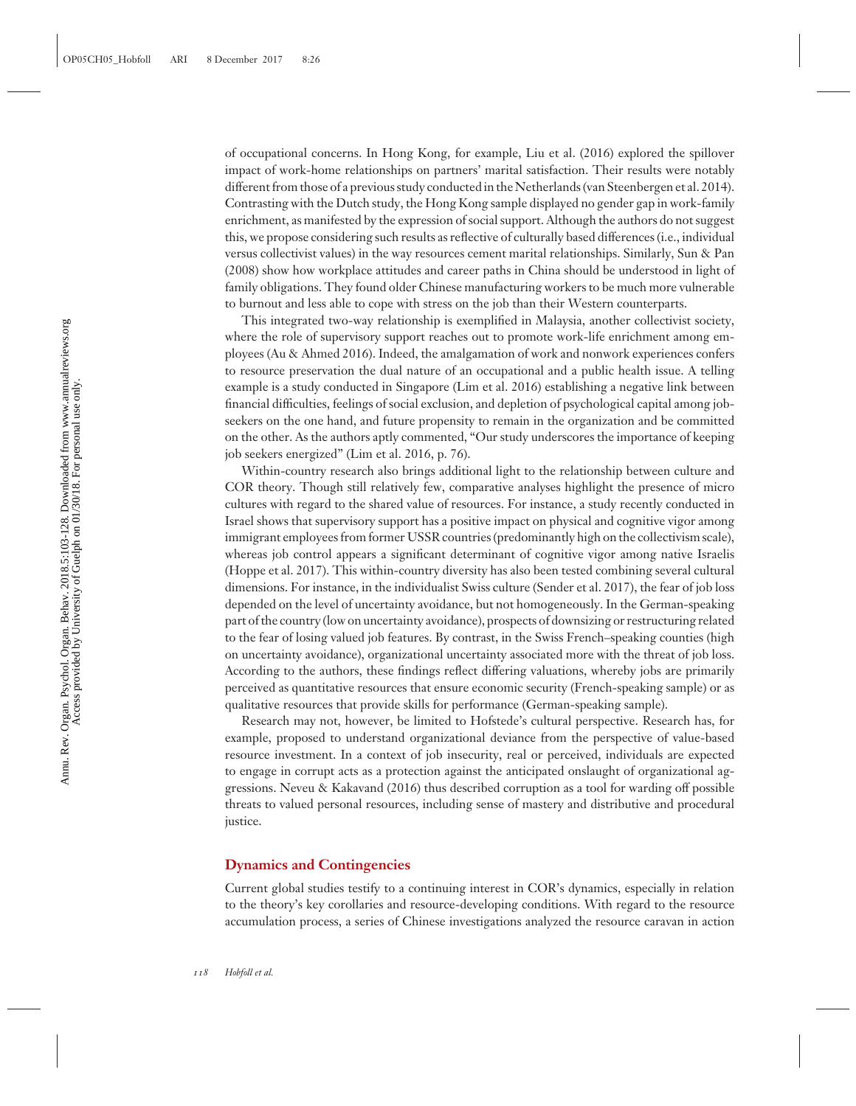of occupational concerns. In Hong Kong, for example, Liu et al. (2016) explored the spillover impact of work-home relationships on partners' marital satisfaction. Their results were notably different from those of a previous study conducted in the Netherlands (van Steenbergen et al. 2014). Contrasting with the Dutch study, the Hong Kong sample displayed no gender gap in work-family enrichment, as manifested by the expression of social support. Although the authors do not suggest this, we propose considering such results as reflective of culturally based differences (i.e., individual versus collectivist values) in the way resources cement marital relationships. Similarly, Sun & Pan (2008) show how workplace attitudes and career paths in China should be understood in light of family obligations. They found older Chinese manufacturing workers to be much more vulnerable to burnout and less able to cope with stress on the job than their Western counterparts.

This integrated two-way relationship is exemplified in Malaysia, another collectivist society, where the role of supervisory support reaches out to promote work-life enrichment among employees (Au & Ahmed 2016). Indeed, the amalgamation of work and nonwork experiences confers to resource preservation the dual nature of an occupational and a public health issue. A telling example is a study conducted in Singapore (Lim et al. 2016) establishing a negative link between financial difficulties, feelings of social exclusion, and depletion of psychological capital among jobseekers on the one hand, and future propensity to remain in the organization and be committed on the other. As the authors aptly commented, "Our study underscores the importance of keeping job seekers energized" (Lim et al. 2016, p. 76).

Within-country research also brings additional light to the relationship between culture and COR theory. Though still relatively few, comparative analyses highlight the presence of micro cultures with regard to the shared value of resources. For instance, a study recently conducted in Israel shows that supervisory support has a positive impact on physical and cognitive vigor among immigrant employees from former USSR countries (predominantly high on the collectivism scale), whereas job control appears a significant determinant of cognitive vigor among native Israelis (Hoppe et al. 2017). This within-country diversity has also been tested combining several cultural dimensions. For instance, in the individualist Swiss culture (Sender et al. 2017), the fear of job loss depended on the level of uncertainty avoidance, but not homogeneously. In the German-speaking part of the country (low on uncertainty avoidance), prospects of downsizing or restructuring related to the fear of losing valued job features. By contrast, in the Swiss French–speaking counties (high on uncertainty avoidance), organizational uncertainty associated more with the threat of job loss. According to the authors, these findings reflect differing valuations, whereby jobs are primarily perceived as quantitative resources that ensure economic security (French-speaking sample) or as qualitative resources that provide skills for performance (German-speaking sample).

Research may not, however, be limited to Hofstede's cultural perspective. Research has, for example, proposed to understand organizational deviance from the perspective of value-based resource investment. In a context of job insecurity, real or perceived, individuals are expected to engage in corrupt acts as a protection against the anticipated onslaught of organizational aggressions. Neveu & Kakavand (2016) thus described corruption as a tool for warding off possible threats to valued personal resources, including sense of mastery and distributive and procedural justice.

#### **Dynamics and Contingencies**

Current global studies testify to a continuing interest in COR's dynamics, especially in relation to the theory's key corollaries and resource-developing conditions. With regard to the resource accumulation process, a series of Chinese investigations analyzed the resource caravan in action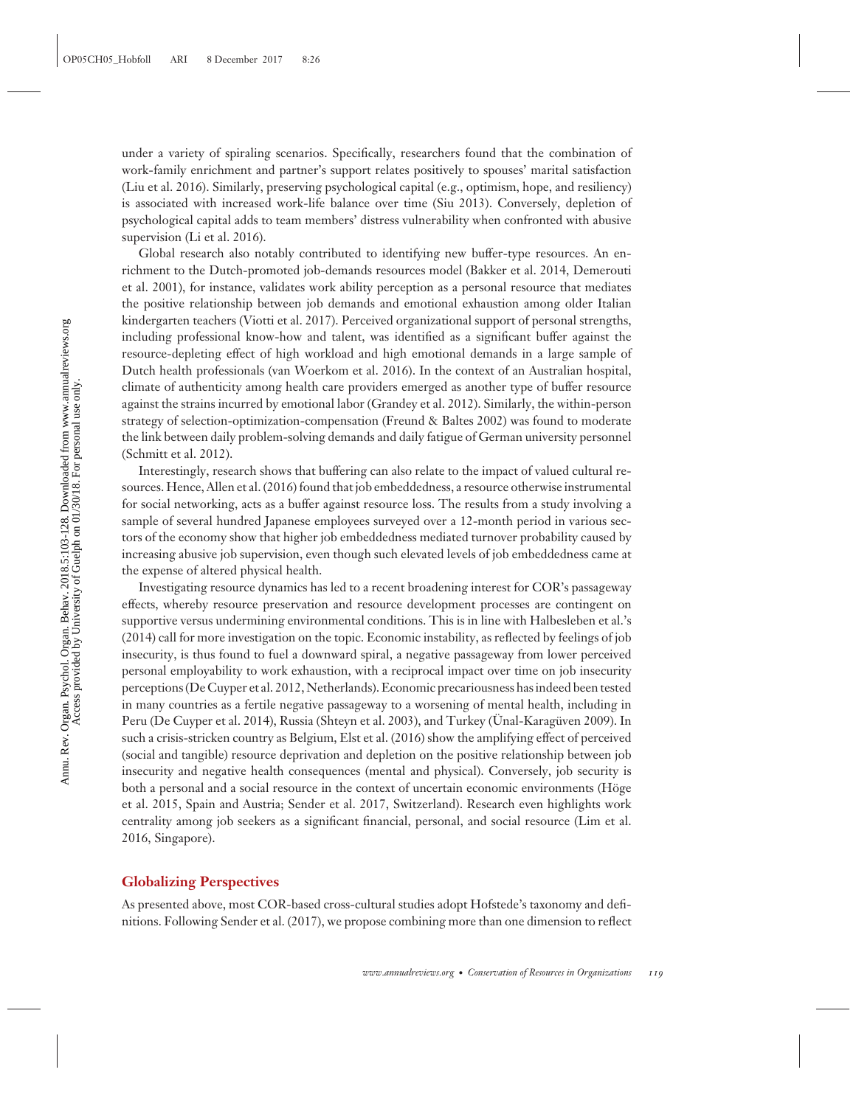under a variety of spiraling scenarios. Specifically, researchers found that the combination of work-family enrichment and partner's support relates positively to spouses' marital satisfaction (Liu et al. 2016). Similarly, preserving psychological capital (e.g., optimism, hope, and resiliency) is associated with increased work-life balance over time (Siu 2013). Conversely, depletion of psychological capital adds to team members' distress vulnerability when confronted with abusive supervision (Li et al. 2016).

Global research also notably contributed to identifying new buffer-type resources. An enrichment to the Dutch-promoted job-demands resources model (Bakker et al. 2014, Demerouti et al. 2001), for instance, validates work ability perception as a personal resource that mediates the positive relationship between job demands and emotional exhaustion among older Italian kindergarten teachers (Viotti et al. 2017). Perceived organizational support of personal strengths, including professional know-how and talent, was identified as a significant buffer against the resource-depleting effect of high workload and high emotional demands in a large sample of Dutch health professionals (van Woerkom et al. 2016). In the context of an Australian hospital, climate of authenticity among health care providers emerged as another type of buffer resource against the strains incurred by emotional labor (Grandey et al. 2012). Similarly, the within-person strategy of selection-optimization-compensation (Freund & Baltes 2002) was found to moderate the link between daily problem-solving demands and daily fatigue of German university personnel (Schmitt et al. 2012).

Interestingly, research shows that buffering can also relate to the impact of valued cultural resources. Hence, Allen et al. (2016) found that job embeddedness, a resource otherwise instrumental for social networking, acts as a buffer against resource loss. The results from a study involving a sample of several hundred Japanese employees surveyed over a 12-month period in various sectors of the economy show that higher job embeddedness mediated turnover probability caused by increasing abusive job supervision, even though such elevated levels of job embeddedness came at the expense of altered physical health.

Investigating resource dynamics has led to a recent broadening interest for COR's passageway effects, whereby resource preservation and resource development processes are contingent on supportive versus undermining environmental conditions. This is in line with Halbesleben et al.'s (2014) call for more investigation on the topic. Economic instability, as reflected by feelings of job insecurity, is thus found to fuel a downward spiral, a negative passageway from lower perceived personal employability to work exhaustion, with a reciprocal impact over time on job insecurity perceptions (De Cuyper et al. 2012, Netherlands). Economic precariousness has indeed been tested in many countries as a fertile negative passageway to a worsening of mental health, including in Peru (De Cuyper et al. 2014), Russia (Shteyn et al. 2003), and Turkey (Unal-Karagüven 2009). In such a crisis-stricken country as Belgium, Elst et al. (2016) show the amplifying effect of perceived (social and tangible) resource deprivation and depletion on the positive relationship between job insecurity and negative health consequences (mental and physical). Conversely, job security is both a personal and a social resource in the context of uncertain economic environments (Höge et al. 2015, Spain and Austria; Sender et al. 2017, Switzerland). Research even highlights work centrality among job seekers as a significant financial, personal, and social resource (Lim et al. 2016, Singapore).

#### **Globalizing Perspectives**

As presented above, most COR-based cross-cultural studies adopt Hofstede's taxonomy and definitions. Following Sender et al. (2017), we propose combining more than one dimension to reflect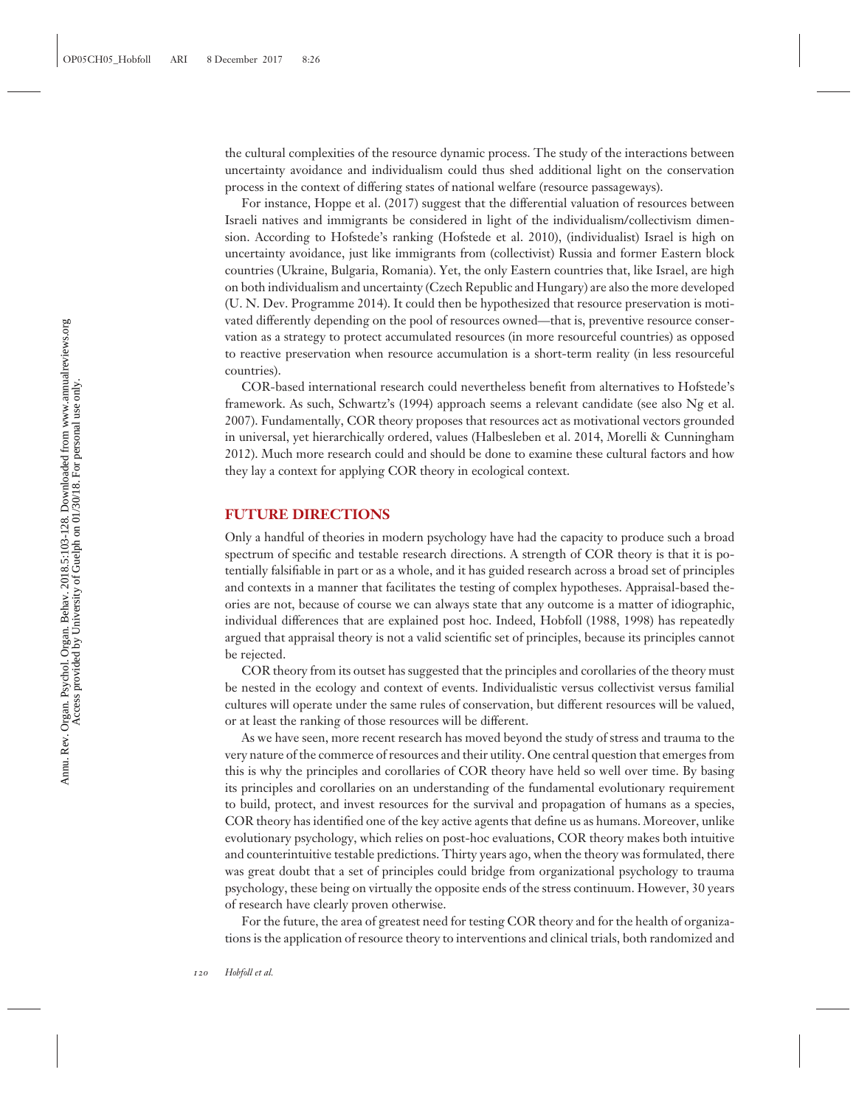the cultural complexities of the resource dynamic process. The study of the interactions between uncertainty avoidance and individualism could thus shed additional light on the conservation process in the context of differing states of national welfare (resource passageways).

For instance, Hoppe et al. (2017) suggest that the differential valuation of resources between Israeli natives and immigrants be considered in light of the individualism/collectivism dimension. According to Hofstede's ranking (Hofstede et al. 2010), (individualist) Israel is high on uncertainty avoidance, just like immigrants from (collectivist) Russia and former Eastern block countries (Ukraine, Bulgaria, Romania). Yet, the only Eastern countries that, like Israel, are high on both individualism and uncertainty (Czech Republic and Hungary) are also the more developed (U. N. Dev. Programme 2014). It could then be hypothesized that resource preservation is motivated differently depending on the pool of resources owned—that is, preventive resource conservation as a strategy to protect accumulated resources (in more resourceful countries) as opposed to reactive preservation when resource accumulation is a short-term reality (in less resourceful countries).

COR-based international research could nevertheless benefit from alternatives to Hofstede's framework. As such, Schwartz's (1994) approach seems a relevant candidate (see also Ng et al. 2007). Fundamentally, COR theory proposes that resources act as motivational vectors grounded in universal, yet hierarchically ordered, values (Halbesleben et al. 2014, Morelli & Cunningham 2012). Much more research could and should be done to examine these cultural factors and how they lay a context for applying COR theory in ecological context.

# **FUTURE DIRECTIONS**

Only a handful of theories in modern psychology have had the capacity to produce such a broad spectrum of specific and testable research directions. A strength of COR theory is that it is potentially falsifiable in part or as a whole, and it has guided research across a broad set of principles and contexts in a manner that facilitates the testing of complex hypotheses. Appraisal-based theories are not, because of course we can always state that any outcome is a matter of idiographic, individual differences that are explained post hoc. Indeed, Hobfoll (1988, 1998) has repeatedly argued that appraisal theory is not a valid scientific set of principles, because its principles cannot be rejected.

COR theory from its outset has suggested that the principles and corollaries of the theory must be nested in the ecology and context of events. Individualistic versus collectivist versus familial cultures will operate under the same rules of conservation, but different resources will be valued, or at least the ranking of those resources will be different.

As we have seen, more recent research has moved beyond the study of stress and trauma to the very nature of the commerce of resources and their utility. One central question that emerges from this is why the principles and corollaries of COR theory have held so well over time. By basing its principles and corollaries on an understanding of the fundamental evolutionary requirement to build, protect, and invest resources for the survival and propagation of humans as a species, COR theory has identified one of the key active agents that define us as humans. Moreover, unlike evolutionary psychology, which relies on post-hoc evaluations, COR theory makes both intuitive and counterintuitive testable predictions. Thirty years ago, when the theory was formulated, there was great doubt that a set of principles could bridge from organizational psychology to trauma psychology, these being on virtually the opposite ends of the stress continuum. However, 30 years of research have clearly proven otherwise.

For the future, the area of greatest need for testing COR theory and for the health of organizations is the application of resource theory to interventions and clinical trials, both randomized and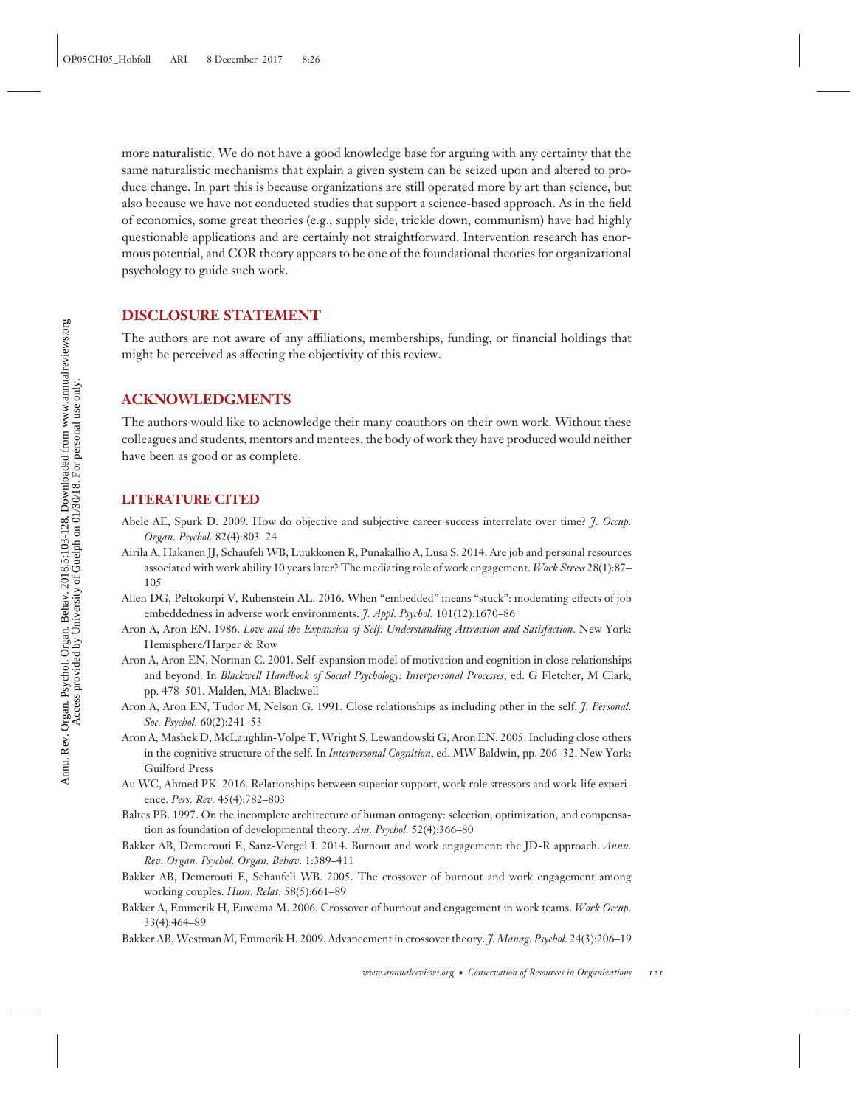more naturalistic. We do not have a good knowledge base for arguing with any certainty that the same naturalistic mechanisms that explain a given system can be seized upon and altered to produce change. In part this is because organizations are still operated more by art than science, but also because we have not conducted studies that support a science-based approach. As in the field of economics, some great theories (e.g., supply side, trickle down, communism) have had highly questionable applications and are certainly not straightforward. Intervention research has enormous potential, and COR theory appears to be one of the foundational theories for organizational psychology to guide such work.

# **DISCLOSURE STATEMENT**

The authors are not aware of any affiliations, memberships, funding, or financial holdings that might be perceived as affecting the objectivity of this review.

# **ACKNOWLEDGMENTS**

The authors would like to acknowledge their many coauthors on their own work. Without these colleagues and students, mentors and mentees, the body of work they have produced would neither have been as good or as complete.

#### **LITERATURE CITED**

- Abele AE, Spurk D. 2009. How do objective and subjective career success interrelate over time? *J. Occup. Organ. Psychol.* 82(4):803–24
- Airila A, Hakanen JJ, Schaufeli WB, Luukkonen R, Punakallio A, Lusa S. 2014. Are job and personal resources associated with work ability 10 years later? The mediating role of work engagement. *Work Stress* 28(1):87– 105
- Allen DG, Peltokorpi V, Rubenstein AL. 2016. When "embedded" means "stuck": moderating effects of job embeddedness in adverse work environments. *J. Appl. Psychol.* 101(12):1670–86
- Aron A, Aron EN. 1986. *Love and the Expansion of Self: Understanding Attraction and Satisfaction*. New York: Hemisphere/Harper & Row
- Aron A, Aron EN, Norman C. 2001. Self-expansion model of motivation and cognition in close relationships and beyond. In *Blackwell Handbook of Social Psychology: Interpersonal Processes*, ed. G Fletcher, M Clark, pp. 478–501. Malden, MA: Blackwell
- Aron A, Aron EN, Tudor M, Nelson G. 1991. Close relationships as including other in the self. *J. Personal. Soc. Psychol.* 60(2):241–53
- Aron A, Mashek D, McLaughlin-Volpe T, Wright S, Lewandowski G, Aron EN. 2005. Including close others in the cognitive structure of the self. In *Interpersonal Cognition*, ed. MW Baldwin, pp. 206–32. New York: Guilford Press
- Au WC, Ahmed PK. 2016. Relationships between superior support, work role stressors and work-life experience. *Pers. Rev.* 45(4):782–803
- Baltes PB. 1997. On the incomplete architecture of human ontogeny: selection, optimization, and compensation as foundation of developmental theory. *Am. Psychol.* 52(4):366–80
- Bakker AB, Demerouti E, Sanz-Vergel I. 2014. Burnout and work engagement: the JD-R approach. *Annu. Rev. Organ. Psychol. Organ. Behav.* 1:389–411
- Bakker AB, Demerouti E, Schaufeli WB. 2005. The crossover of burnout and work engagement among working couples. *Hum. Relat.* 58(5):661–89
- Bakker A, Emmerik H, Euwema M. 2006. Crossover of burnout and engagement in work teams. *Work Occup*. 33(4):464–89
- Bakker AB,Westman M, Emmerik H. 2009. Advancement in crossover theory. *J. Manag. Psychol.* 24(3):206–19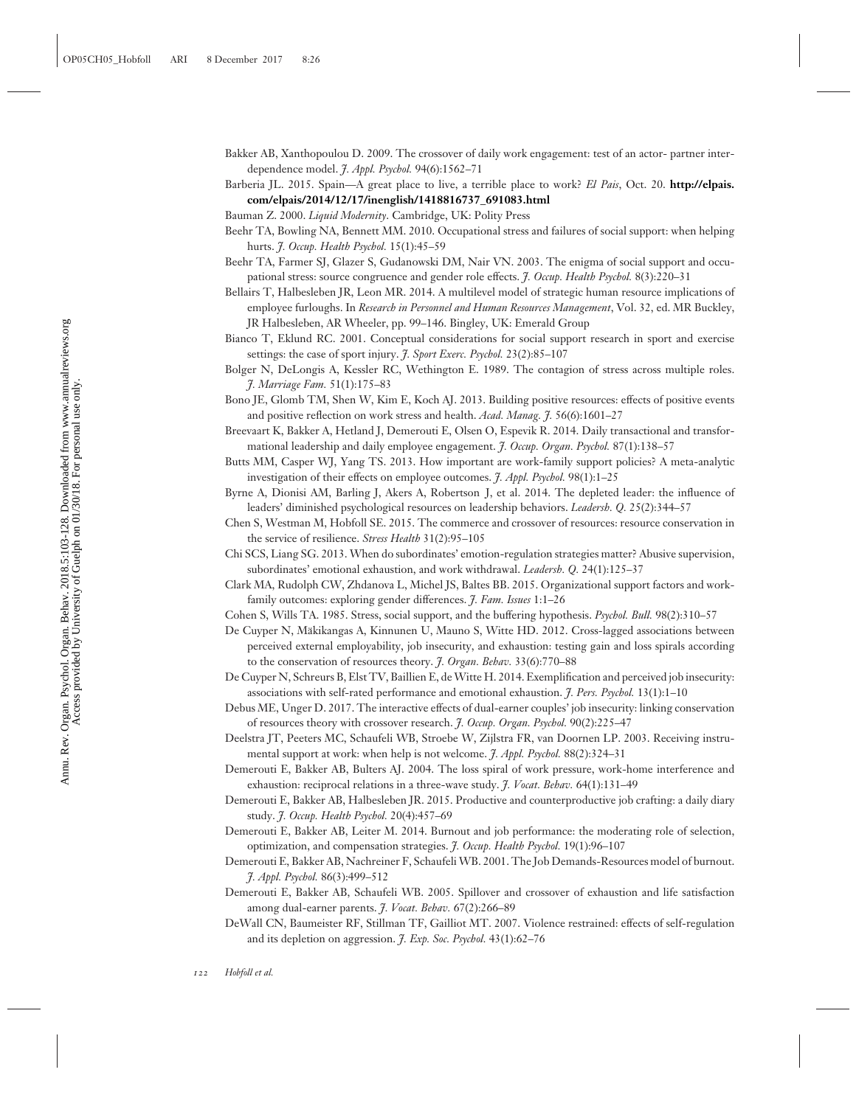- Bakker AB, Xanthopoulou D. 2009. The crossover of daily work engagement: test of an actor- partner interdependence model. *J. Appl. Psychol.* 94(6):1562–71
- Barberia JL. 2015. Spain—A great place to live, a terrible place to work? *El Pais*, Oct. 20. **[http://elpais.](http://elpais.com/elpais/2014/12/17/inenglish/1418816737_691083.html) [com/elpais/2014/12/17/inenglish/1418816737\\_691083.html](http://elpais.com/elpais/2014/12/17/inenglish/1418816737_691083.html)**
- Bauman Z. 2000. *Liquid Modernity*. Cambridge, UK: Polity Press
- Beehr TA, Bowling NA, Bennett MM. 2010. Occupational stress and failures of social support: when helping hurts. *J. Occup. Health Psychol.* 15(1):45–59
- Beehr TA, Farmer SJ, Glazer S, Gudanowski DM, Nair VN. 2003. The enigma of social support and occupational stress: source congruence and gender role effects. *J. Occup. Health Psychol.* 8(3):220–31
- Bellairs T, Halbesleben JR, Leon MR. 2014. A multilevel model of strategic human resource implications of employee furloughs. In *Research in Personnel and Human Resources Management*, Vol. 32, ed. MR Buckley, JR Halbesleben, AR Wheeler, pp. 99–146. Bingley, UK: Emerald Group
- Bianco T, Eklund RC. 2001. Conceptual considerations for social support research in sport and exercise settings: the case of sport injury. *J. Sport Exerc. Psychol.* 23(2):85–107
- Bolger N, DeLongis A, Kessler RC, Wethington E. 1989. The contagion of stress across multiple roles. *J. Marriage Fam.* 51(1):175–83
- Bono JE, Glomb TM, Shen W, Kim E, Koch AJ. 2013. Building positive resources: effects of positive events and positive reflection on work stress and health. *Acad. Manag. J.* 56(6):1601–27
- Breevaart K, Bakker A, Hetland J, Demerouti E, Olsen O, Espevik R. 2014. Daily transactional and transformational leadership and daily employee engagement. *J. Occup. Organ. Psychol.* 87(1):138–57
- Butts MM, Casper WJ, Yang TS. 2013. How important are work-family support policies? A meta-analytic investigation of their effects on employee outcomes. *J. Appl. Psychol.* 98(1):1–25
- Byrne A, Dionisi AM, Barling J, Akers A, Robertson J, et al. 2014. The depleted leader: the influence of leaders' diminished psychological resources on leadership behaviors. *Leadersh. Q.* 25(2):344–57
- Chen S, Westman M, Hobfoll SE. 2015. The commerce and crossover of resources: resource conservation in the service of resilience. *Stress Health* 31(2):95–105
- Chi SCS, Liang SG. 2013. When do subordinates' emotion-regulation strategies matter? Abusive supervision, subordinates' emotional exhaustion, and work withdrawal. *Leadersh. Q.* 24(1):125–37
- Clark MA, Rudolph CW, Zhdanova L, Michel JS, Baltes BB. 2015. Organizational support factors and workfamily outcomes: exploring gender differences. *J. Fam. Issues* 1:1–26
- Cohen S, Wills TA. 1985. Stress, social support, and the buffering hypothesis. *Psychol. Bull.* 98(2):310–57
- De Cuyper N, Mäkikangas A, Kinnunen U, Mauno S, Witte HD. 2012. Cross-lagged associations between perceived external employability, job insecurity, and exhaustion: testing gain and loss spirals according to the conservation of resources theory. *J. Organ. Behav.* 33(6):770–88
- De Cuyper N, Schreurs B, Elst TV, Baillien E, deWitte H. 2014. Exemplification and perceived job insecurity: associations with self-rated performance and emotional exhaustion. *J. Pers. Psychol.* 13(1):1–10
- Debus ME, Unger D. 2017. The interactive effects of dual-earner couples' job insecurity: linking conservation of resources theory with crossover research. *J. Occup. Organ. Psychol.* 90(2):225–47
- Deelstra JT, Peeters MC, Schaufeli WB, Stroebe W, Zijlstra FR, van Doornen LP. 2003. Receiving instrumental support at work: when help is not welcome. *J. Appl. Psychol.* 88(2):324–31
- Demerouti E, Bakker AB, Bulters AJ. 2004. The loss spiral of work pressure, work-home interference and exhaustion: reciprocal relations in a three-wave study. *J. Vocat. Behav.* 64(1):131–49
- Demerouti E, Bakker AB, Halbesleben JR. 2015. Productive and counterproductive job crafting: a daily diary study. *J. Occup. Health Psychol.* 20(4):457–69
- Demerouti E, Bakker AB, Leiter M. 2014. Burnout and job performance: the moderating role of selection, optimization, and compensation strategies. *J. Occup. Health Psychol.* 19(1):96–107
- Demerouti E, Bakker AB, Nachreiner F, Schaufeli WB. 2001. The Job Demands-Resources model of burnout. *J. Appl. Psychol.* 86(3):499–512
- Demerouti E, Bakker AB, Schaufeli WB. 2005. Spillover and crossover of exhaustion and life satisfaction among dual-earner parents. *J. Vocat. Behav.* 67(2):266–89
- DeWall CN, Baumeister RF, Stillman TF, Gailliot MT. 2007. Violence restrained: effects of self-regulation and its depletion on aggression. *J. Exp. Soc. Psychol.* 43(1):62–76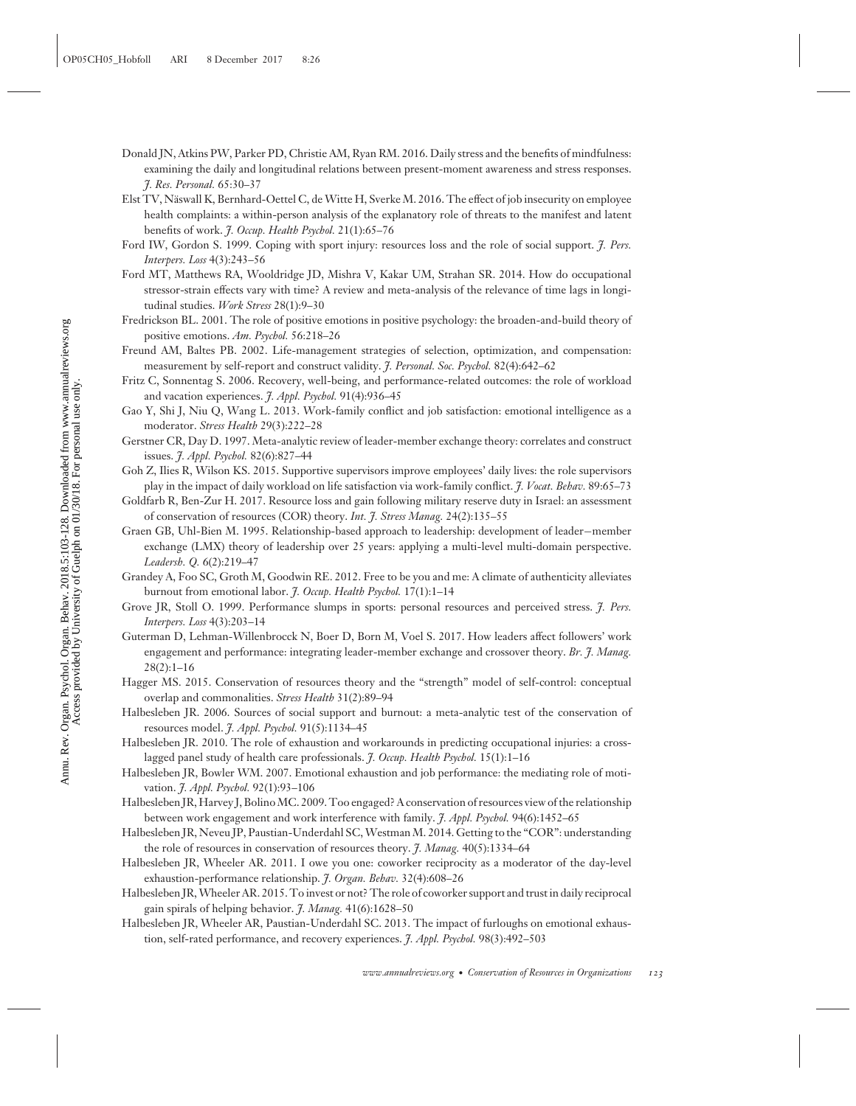- Donald JN, Atkins PW, Parker PD, Christie AM, Ryan RM. 2016. Daily stress and the benefits of mindfulness: examining the daily and longitudinal relations between present-moment awareness and stress responses. *J. Res. Personal.* 65:30–37
- Elst TV, Naswall K, Bernhard-Oettel C, deWitte H, Sverke M. 2016. The effect of job insecurity on employee ¨ health complaints: a within-person analysis of the explanatory role of threats to the manifest and latent benefits of work. *J. Occup. Health Psychol.* 21(1):65–76
- Ford IW, Gordon S. 1999. Coping with sport injury: resources loss and the role of social support. *J. Pers. Interpers. Loss* 4(3):243–56
- Ford MT, Matthews RA, Wooldridge JD, Mishra V, Kakar UM, Strahan SR. 2014. How do occupational stressor-strain effects vary with time? A review and meta-analysis of the relevance of time lags in longitudinal studies. *Work Stress* 28(1):9–30
- Fredrickson BL. 2001. The role of positive emotions in positive psychology: the broaden-and-build theory of positive emotions. *Am. Psychol.* 56:218–26
- Freund AM, Baltes PB. 2002. Life-management strategies of selection, optimization, and compensation: measurement by self-report and construct validity. *J. Personal. Soc. Psychol.* 82(4):642–62
- Fritz C, Sonnentag S. 2006. Recovery, well-being, and performance-related outcomes: the role of workload and vacation experiences. *J. Appl. Psychol.* 91(4):936–45
- Gao Y, Shi J, Niu Q, Wang L. 2013. Work-family conflict and job satisfaction: emotional intelligence as a moderator. *Stress Health* 29(3):222–28
- Gerstner CR, Day D. 1997. Meta-analytic review of leader-member exchange theory: correlates and construct issues. *J. Appl. Psychol.* 82(6):827–44
- Goh Z, Ilies R, Wilson KS. 2015. Supportive supervisors improve employees' daily lives: the role supervisors play in the impact of daily workload on life satisfaction via work-family conflict. *J. Vocat. Behav.* 89:65–73
- Goldfarb R, Ben-Zur H. 2017. Resource loss and gain following military reserve duty in Israel: an assessment of conservation of resources (COR) theory. *Int. J. Stress Manag.* 24(2):135–55
- Graen GB, Uhl-Bien M. 1995. Relationship-based approach to leadership: development of leader−member exchange (LMX) theory of leadership over 25 years: applying a multi-level multi-domain perspective. *Leadersh. Q.* 6(2):219–47
- Grandey A, Foo SC, Groth M, Goodwin RE. 2012. Free to be you and me: A climate of authenticity alleviates burnout from emotional labor. *J. Occup. Health Psychol.* 17(1):1–14
- Grove JR, Stoll O. 1999. Performance slumps in sports: personal resources and perceived stress. *J. Pers. Interpers. Loss* 4(3):203–14
- Guterman D, Lehman-Willenbrocck N, Boer D, Born M, Voel S. 2017. How leaders affect followers' work engagement and performance: integrating leader-member exchange and crossover theory. *Br. J. Manag.* 28(2):1–16
- Hagger MS. 2015. Conservation of resources theory and the "strength" model of self-control: conceptual overlap and commonalities. *Stress Health* 31(2):89–94
- Halbesleben JR. 2006. Sources of social support and burnout: a meta-analytic test of the conservation of resources model. *J. Appl. Psychol.* 91(5):1134–45
- Halbesleben JR. 2010. The role of exhaustion and workarounds in predicting occupational injuries: a crosslagged panel study of health care professionals. *J. Occup. Health Psychol.* 15(1):1–16
- Halbesleben JR, Bowler WM. 2007. Emotional exhaustion and job performance: the mediating role of motivation. *J. Appl. Psychol.* 92(1):93–106
- Halbesleben JR, Harvey J, BolinoMC. 2009. Too engaged? A conservation of resources view of the relationship between work engagement and work interference with family. *J. Appl. Psychol.* 94(6):1452–65
- Halbesleben JR, Neveu JP, Paustian-Underdahl SC,Westman M. 2014. Getting to the "COR": understanding the role of resources in conservation of resources theory. *J. Manag.* 40(5):1334–64
- Halbesleben JR, Wheeler AR. 2011. I owe you one: coworker reciprocity as a moderator of the day-level exhaustion-performance relationship. *J. Organ. Behav.* 32(4):608–26
- Halbesleben JR,Wheeler AR. 2015. To invest or not? The role of coworker support and trust in daily reciprocal gain spirals of helping behavior. *J. Manag.* 41(6):1628–50
- Halbesleben JR, Wheeler AR, Paustian-Underdahl SC. 2013. The impact of furloughs on emotional exhaustion, self-rated performance, and recovery experiences. *J. Appl. Psychol.* 98(3):492–503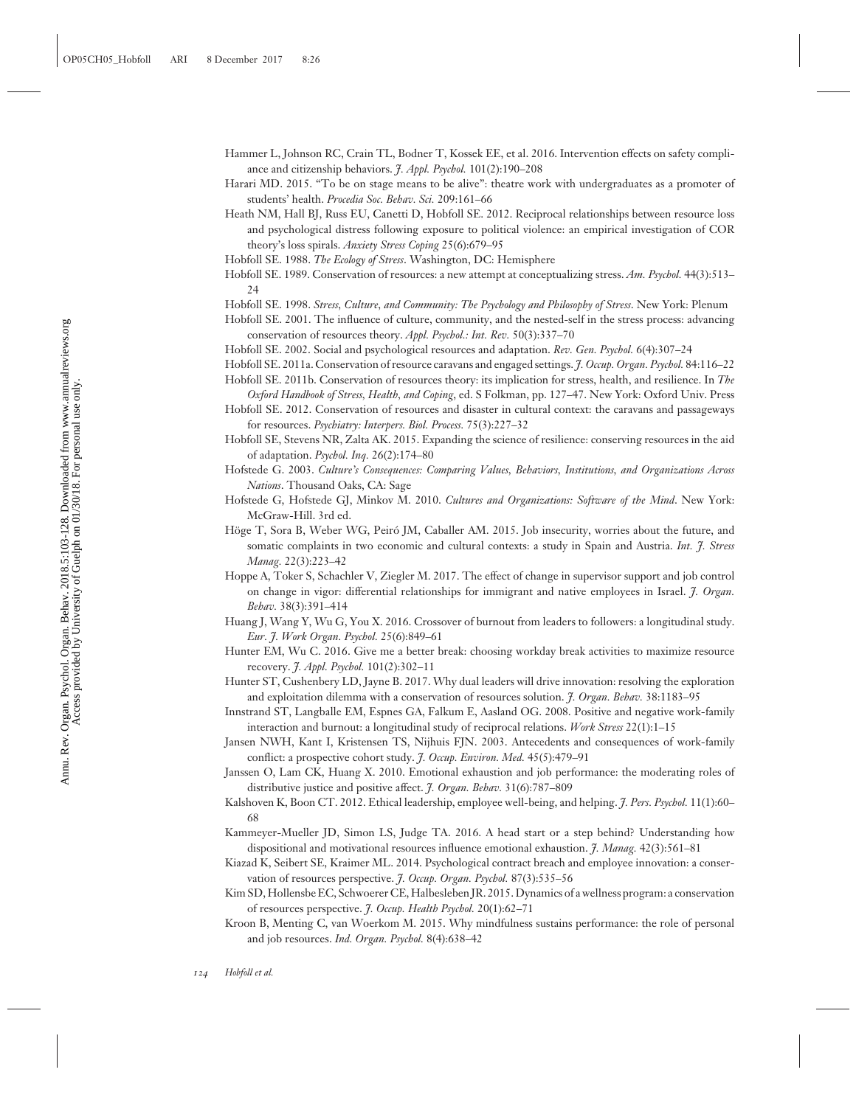- Hammer L, Johnson RC, Crain TL, Bodner T, Kossek EE, et al. 2016. Intervention effects on safety compliance and citizenship behaviors. *J. Appl. Psychol.* 101(2):190–208
- Harari MD. 2015. "To be on stage means to be alive": theatre work with undergraduates as a promoter of students' health. *Procedia Soc. Behav. Sci.* 209:161–66
- Heath NM, Hall BJ, Russ EU, Canetti D, Hobfoll SE. 2012. Reciprocal relationships between resource loss and psychological distress following exposure to political violence: an empirical investigation of COR theory's loss spirals. *Anxiety Stress Coping* 25(6):679–95
- Hobfoll SE. 1988. *The Ecology of Stress*. Washington, DC: Hemisphere
- Hobfoll SE. 1989. Conservation of resources: a new attempt at conceptualizing stress. *Am. Psychol.* 44(3):513– 24
- Hobfoll SE. 1998. *Stress, Culture, and Community: The Psychology and Philosophy of Stress*. New York: Plenum
- Hobfoll SE. 2001. The influence of culture, community, and the nested-self in the stress process: advancing conservation of resources theory. *Appl. Psychol.: Int. Rev.* 50(3):337–70
- Hobfoll SE. 2002. Social and psychological resources and adaptation. *Rev. Gen. Psychol.* 6(4):307–24
- Hobfoll SE. 2011a. Conservation of resource caravans and engaged settings. *J. Occup. Organ. Psychol.* 84:116–22
- Hobfoll SE. 2011b. Conservation of resources theory: its implication for stress, health, and resilience. In *The*
- *Oxford Handbook of Stress, Health, and Coping*, ed. S Folkman, pp. 127–47. New York: Oxford Univ. Press
- Hobfoll SE. 2012. Conservation of resources and disaster in cultural context: the caravans and passageways for resources. *Psychiatry: Interpers. Biol. Process.* 75(3):227–32
- Hobfoll SE, Stevens NR, Zalta AK. 2015. Expanding the science of resilience: conserving resources in the aid of adaptation. *Psychol. Inq.* 26(2):174–80
- Hofstede G. 2003. *Culture's Consequences: Comparing Values, Behaviors, Institutions, and Organizations Across Nations*. Thousand Oaks, CA: Sage
- Hofstede G, Hofstede GJ, Minkov M. 2010. *Cultures and Organizations: Software of the Mind*. New York: McGraw-Hill. 3rd ed.
- Höge T, Sora B, Weber WG, Peiró JM, Caballer AM. 2015. Job insecurity, worries about the future, and somatic complaints in two economic and cultural contexts: a study in Spain and Austria. *Int. J. Stress Manag.* 22(3):223–42
- Hoppe A, Toker S, Schachler V, Ziegler M. 2017. The effect of change in supervisor support and job control on change in vigor: differential relationships for immigrant and native employees in Israel. *J. Organ. Behav.* 38(3):391–414
- Huang J, Wang Y, Wu G, You X. 2016. Crossover of burnout from leaders to followers: a longitudinal study. *Eur. J. Work Organ. Psychol.* 25(6):849–61
- Hunter EM, Wu C. 2016. Give me a better break: choosing workday break activities to maximize resource recovery. *J. Appl. Psychol.* 101(2):302–11
- Hunter ST, Cushenbery LD, Jayne B. 2017. Why dual leaders will drive innovation: resolving the exploration and exploitation dilemma with a conservation of resources solution. *J. Organ. Behav.* 38:1183–95
- Innstrand ST, Langballe EM, Espnes GA, Falkum E, Aasland OG. 2008. Positive and negative work-family interaction and burnout: a longitudinal study of reciprocal relations. *Work Stress* 22(1):1–15
- Jansen NWH, Kant I, Kristensen TS, Nijhuis FJN. 2003. Antecedents and consequences of work-family conflict: a prospective cohort study. *J. Occup. Environ. Med.* 45(5):479–91
- Janssen O, Lam CK, Huang X. 2010. Emotional exhaustion and job performance: the moderating roles of distributive justice and positive affect. *J. Organ. Behav.* 31(6):787–809
- Kalshoven K, Boon CT. 2012. Ethical leadership, employee well-being, and helping. *J. Pers. Psychol.* 11(1):60– 68
- Kammeyer-Mueller JD, Simon LS, Judge TA. 2016. A head start or a step behind? Understanding how dispositional and motivational resources influence emotional exhaustion. *J. Manag.* 42(3):561–81
- Kiazad K, Seibert SE, Kraimer ML. 2014. Psychological contract breach and employee innovation: a conservation of resources perspective. *J. Occup. Organ. Psychol.* 87(3):535–56
- Kim SD, Hollensbe EC, Schwoerer CE, Halbesleben JR. 2015. Dynamics of a wellness program: a conservation of resources perspective. *J. Occup. Health Psychol.* 20(1):62–71
- Kroon B, Menting C, van Woerkom M. 2015. Why mindfulness sustains performance: the role of personal and job resources. *Ind. Organ. Psychol.* 8(4):638–42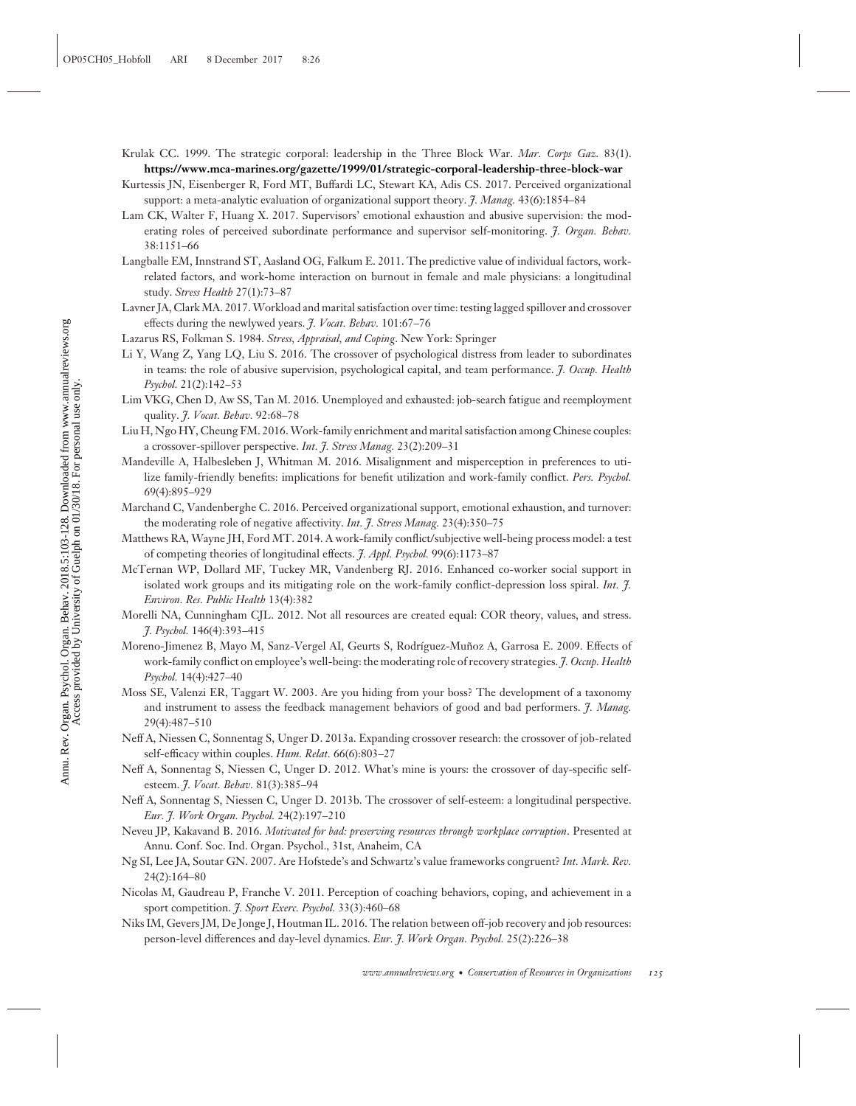- Krulak CC. 1999. The strategic corporal: leadership in the Three Block War. *Mar. Corps Gaz.* 83(1). **<https://www.mca-marines.org/gazette/1999/01/strategic-corporal-leadership-three-block-war>**
- Kurtessis JN, Eisenberger R, Ford MT, Buffardi LC, Stewart KA, Adis CS. 2017. Perceived organizational support: a meta-analytic evaluation of organizational support theory. *J. Manag.* 43(6):1854–84
- Lam CK, Walter F, Huang X. 2017. Supervisors' emotional exhaustion and abusive supervision: the moderating roles of perceived subordinate performance and supervisor self-monitoring. *J. Organ. Behav.* 38:1151–66
- Langballe EM, Innstrand ST, Aasland OG, Falkum E. 2011. The predictive value of individual factors, workrelated factors, and work-home interaction on burnout in female and male physicians: a longitudinal study. *Stress Health* 27(1):73–87
- Lavner JA, Clark MA. 2017.Workload and marital satisfaction over time: testing lagged spillover and crossover effects during the newlywed years. *J. Vocat. Behav.* 101:67–76
- Lazarus RS, Folkman S. 1984. *Stress, Appraisal, and Coping*. New York: Springer
- Li Y, Wang Z, Yang LQ, Liu S. 2016. The crossover of psychological distress from leader to subordinates in teams: the role of abusive supervision, psychological capital, and team performance. *J. Occup. Health Psychol.* 21(2):142–53
- Lim VKG, Chen D, Aw SS, Tan M. 2016. Unemployed and exhausted: job-search fatigue and reemployment quality. *J. Vocat. Behav.* 92:68–78
- Liu H, Ngo HY, Cheung FM. 2016.Work-family enrichment and marital satisfaction among Chinese couples: a crossover-spillover perspective. *Int. J. Stress Manag.* 23(2):209–31
- Mandeville A, Halbesleben J, Whitman M. 2016. Misalignment and misperception in preferences to utilize family-friendly benefits: implications for benefit utilization and work-family conflict. *Pers. Psychol.* 69(4):895–929
- Marchand C, Vandenberghe C. 2016. Perceived organizational support, emotional exhaustion, and turnover: the moderating role of negative affectivity. *Int. J. Stress Manag.* 23(4):350–75
- Matthews RA, Wayne JH, Ford MT. 2014. A work-family conflict/subjective well-being process model: a test of competing theories of longitudinal effects. *J. Appl. Psychol.* 99(6):1173–87
- McTernan WP, Dollard MF, Tuckey MR, Vandenberg RJ. 2016. Enhanced co-worker social support in isolated work groups and its mitigating role on the work-family conflict-depression loss spiral. *Int. J. Environ. Res. Public Health* 13(4):382
- Morelli NA, Cunningham CJL. 2012. Not all resources are created equal: COR theory, values, and stress. *J. Psychol.* 146(4):393–415
- Moreno-Jimenez B, Mayo M, Sanz-Vergel AI, Geurts S, Rodríguez-Muñoz A, Garrosa E. 2009. Effects of work-family conflict on employee's well-being: the moderating role of recovery strategies. *J. Occup. Health Psychol.* 14(4):427–40
- Moss SE, Valenzi ER, Taggart W. 2003. Are you hiding from your boss? The development of a taxonomy and instrument to assess the feedback management behaviors of good and bad performers. *J. Manag.* 29(4):487–510
- Neff A, Niessen C, Sonnentag S, Unger D. 2013a. Expanding crossover research: the crossover of job-related self-efficacy within couples. *Hum. Relat.* 66(6):803–27
- Neff A, Sonnentag S, Niessen C, Unger D. 2012. What's mine is yours: the crossover of day-specific selfesteem. *J. Vocat. Behav.* 81(3):385–94
- Neff A, Sonnentag S, Niessen C, Unger D. 2013b. The crossover of self-esteem: a longitudinal perspective. *Eur. J. Work Organ. Psychol.* 24(2):197–210
- Neveu JP, Kakavand B. 2016. *Motivated for bad: preserving resources through workplace corruption*. Presented at Annu. Conf. Soc. Ind. Organ. Psychol., 31st, Anaheim, CA
- Ng SI, Lee JA, Soutar GN. 2007. Are Hofstede's and Schwartz's value frameworks congruent? *Int. Mark. Rev.* 24(2):164–80
- Nicolas M, Gaudreau P, Franche V. 2011. Perception of coaching behaviors, coping, and achievement in a sport competition. *J. Sport Exerc. Psychol.* 33(3):460–68
- Niks IM, Gevers JM, De Jonge J, Houtman IL. 2016. The relation between off-job recovery and job resources: person-level differences and day-level dynamics. *Eur. J. Work Organ. Psychol.* 25(2):226–38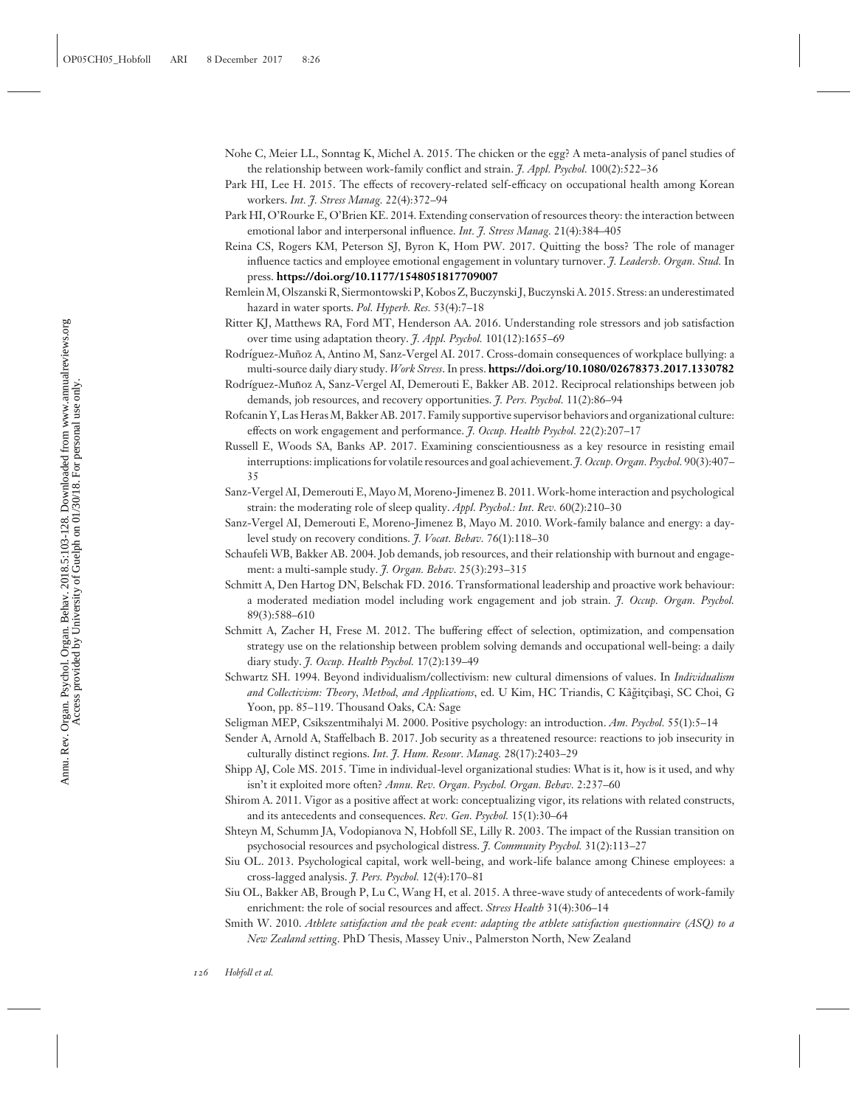- Nohe C, Meier LL, Sonntag K, Michel A. 2015. The chicken or the egg? A meta-analysis of panel studies of the relationship between work-family conflict and strain. *J. Appl. Psychol.* 100(2):522–36
- Park HI, Lee H. 2015. The effects of recovery-related self-efficacy on occupational health among Korean workers. *Int. J. Stress Manag.* 22(4):372–94
- Park HI, O'Rourke E, O'Brien KE. 2014. Extending conservation of resources theory: the interaction between emotional labor and interpersonal influence. *Int. J. Stress Manag.* 21(4):384–405
- Reina CS, Rogers KM, Peterson SJ, Byron K, Hom PW. 2017. Quitting the boss? The role of manager influence tactics and employee emotional engagement in voluntary turnover. *J. Leadersh. Organ. Stud.* In press. **<https://doi.org/10.1177/1548051817709007>**
- RemleinM, Olszanski R, Siermontowski P, Kobos Z, Buczynski J, Buczynski A. 2015. Stress: an underestimated hazard in water sports. *Pol. Hyperb. Res.* 53(4):7–18
- Ritter KJ, Matthews RA, Ford MT, Henderson AA. 2016. Understanding role stressors and job satisfaction over time using adaptation theory. *J. Appl. Psychol.* 101(12):1655–69
- Rodríguez-Muñoz A, Antino M, Sanz-Vergel AI. 2017. Cross-domain consequences of workplace bullying: a multi-source daily diary study. *Work Stress*. In press. **<https://doi.org/10.1080/02678373.2017.1330782>**
- Rodríguez-Muñoz A, Sanz-Vergel AI, Demerouti E, Bakker AB. 2012. Reciprocal relationships between job demands, job resources, and recovery opportunities. *J. Pers. Psychol.* 11(2):86–94
- Rofcanin Y, Las Heras M, Bakker AB. 2017. Family supportive supervisor behaviors and organizational culture: effects on work engagement and performance. *J. Occup. Health Psychol.* 22(2):207–17
- Russell E, Woods SA, Banks AP. 2017. Examining conscientiousness as a key resource in resisting email interruptions: implications for volatile resources and goal achievement. *J. Occup. Organ. Psychol.* 90(3):407– 35
- Sanz-Vergel AI, Demerouti E, Mayo M, Moreno-Jimenez B. 2011. Work-home interaction and psychological strain: the moderating role of sleep quality. *Appl. Psychol.: Int. Rev.* 60(2):210–30
- Sanz-Vergel AI, Demerouti E, Moreno-Jimenez B, Mayo M. 2010. Work-family balance and energy: a daylevel study on recovery conditions. *J. Vocat. Behav.* 76(1):118–30
- Schaufeli WB, Bakker AB. 2004. Job demands, job resources, and their relationship with burnout and engagement: a multi-sample study. *J. Organ. Behav.* 25(3):293–315
- Schmitt A, Den Hartog DN, Belschak FD. 2016. Transformational leadership and proactive work behaviour: a moderated mediation model including work engagement and job strain. *J. Occup. Organ. Psychol.* 89(3):588–610
- Schmitt A, Zacher H, Frese M. 2012. The buffering effect of selection, optimization, and compensation strategy use on the relationship between problem solving demands and occupational well-being: a daily diary study. *J. Occup. Health Psychol.* 17(2):139–49
- Schwartz SH. 1994. Beyond individualism/collectivism: new cultural dimensions of values. In *Individualism and Collectivism: Theory, Method, and Applications*, ed. U Kim, HC Triandis, C Kâğitçibasi, SC Choi, G Yoon, pp. 85–119. Thousand Oaks, CA: Sage
- Seligman MEP, Csikszentmihalyi M. 2000. Positive psychology: an introduction. *Am. Psychol.* 55(1):5–14
- Sender A, Arnold A, Staffelbach B. 2017. Job security as a threatened resource: reactions to job insecurity in culturally distinct regions. *Int. J. Hum. Resour. Manag.* 28(17):2403–29
- Shipp AJ, Cole MS. 2015. Time in individual-level organizational studies: What is it, how is it used, and why isn't it exploited more often? *Annu. Rev. Organ. Psychol. Organ. Behav.* 2:237–60
- Shirom A. 2011. Vigor as a positive affect at work: conceptualizing vigor, its relations with related constructs, and its antecedents and consequences. *Rev. Gen. Psychol.* 15(1):30–64
- Shteyn M, Schumm JA, Vodopianova N, Hobfoll SE, Lilly R. 2003. The impact of the Russian transition on psychosocial resources and psychological distress. *J. Community Psychol.* 31(2):113–27
- Siu OL. 2013. Psychological capital, work well-being, and work-life balance among Chinese employees: a cross-lagged analysis. *J. Pers. Psychol.* 12(4):170–81
- Siu OL, Bakker AB, Brough P, Lu C, Wang H, et al. 2015. A three-wave study of antecedents of work-family enrichment: the role of social resources and affect. *Stress Health* 31(4):306–14
- Smith W. 2010. *Athlete satisfaction and the peak event: adapting the athlete satisfaction questionnaire (ASQ) to a New Zealand setting*. PhD Thesis, Massey Univ., Palmerston North, New Zealand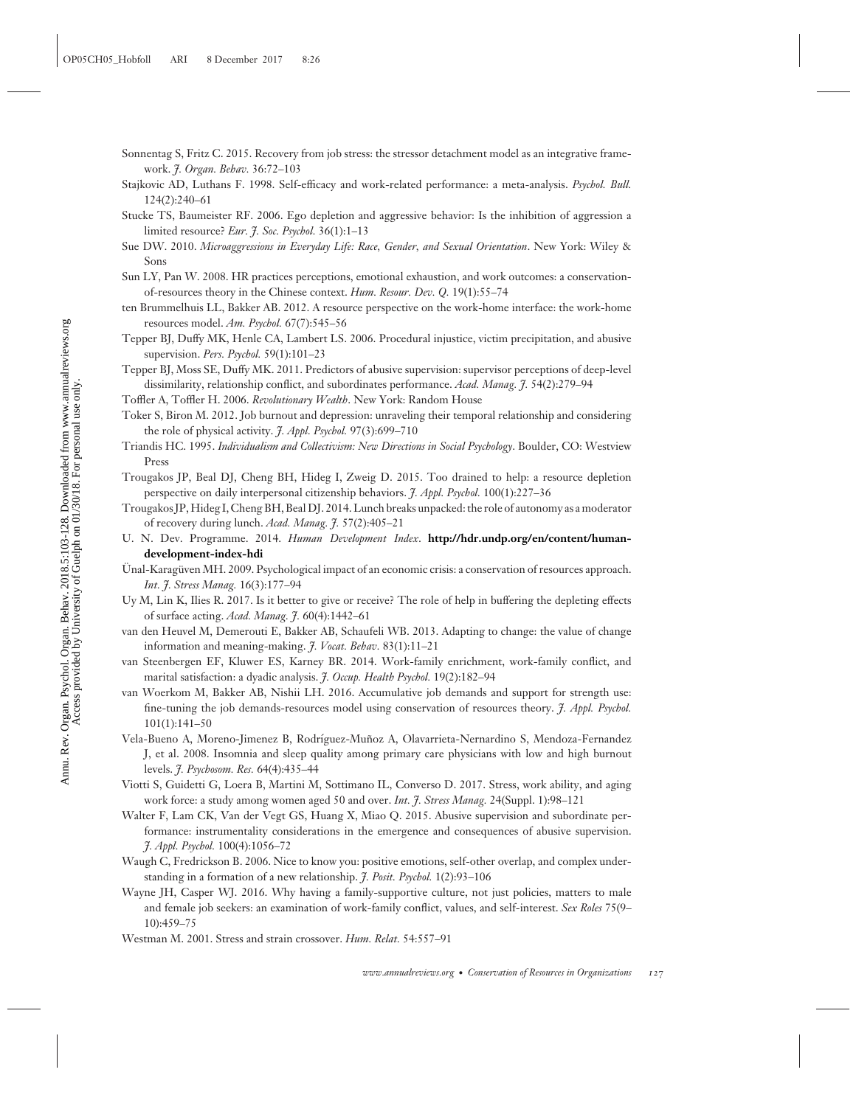- Sonnentag S, Fritz C. 2015. Recovery from job stress: the stressor detachment model as an integrative framework. *J. Organ. Behav.* 36:72–103
- Stajkovic AD, Luthans F. 1998. Self-efficacy and work-related performance: a meta-analysis. *Psychol. Bull.* 124(2):240–61
- Stucke TS, Baumeister RF. 2006. Ego depletion and aggressive behavior: Is the inhibition of aggression a limited resource? *Eur. J. Soc. Psychol.* 36(1):1–13
- Sue DW. 2010. *Microaggressions in Everyday Life: Race, Gender, and Sexual Orientation*. New York: Wiley & Sons
- Sun LY, Pan W. 2008. HR practices perceptions, emotional exhaustion, and work outcomes: a conservationof-resources theory in the Chinese context. *Hum. Resour. Dev. Q.* 19(1):55–74
- ten Brummelhuis LL, Bakker AB. 2012. A resource perspective on the work-home interface: the work-home resources model. *Am. Psychol.* 67(7):545–56
- Tepper BJ, Duffy MK, Henle CA, Lambert LS. 2006. Procedural injustice, victim precipitation, and abusive supervision. *Pers. Psychol.* 59(1):101–23
- Tepper BJ, Moss SE, Duffy MK. 2011. Predictors of abusive supervision: supervisor perceptions of deep-level dissimilarity, relationship conflict, and subordinates performance. *Acad. Manag. J.* 54(2):279–94
- Toffler A, Toffler H. 2006. *Revolutionary Wealth*. New York: Random House
- Toker S, Biron M. 2012. Job burnout and depression: unraveling their temporal relationship and considering the role of physical activity. *J. Appl. Psychol.* 97(3):699–710
- Triandis HC. 1995. *Individualism and Collectivism: New Directions in Social Psychology*. Boulder, CO: Westview Press
- Trougakos JP, Beal DJ, Cheng BH, Hideg I, Zweig D. 2015. Too drained to help: a resource depletion perspective on daily interpersonal citizenship behaviors. *J. Appl. Psychol.* 100(1):227–36
- Trougakos JP, Hideg I, Cheng BH, Beal DJ. 2014. Lunch breaks unpacked: the role of autonomy as a moderator of recovery during lunch. *Acad. Manag. J.* 57(2):405–21
- U. N. Dev. Programme. 2014. *Human Development Index*. **[http://hdr.undp.org/en/content/human](http://hdr.undp.org/en/content/human-development-index-hdi)[development-index-hdi](http://hdr.undp.org/en/content/human-development-index-hdi)**
- Unal-Karagüven MH. 2009. Psychological impact of an economic crisis: a conservation of resources approach. *Int. J. Stress Manag.* 16(3):177–94
- Uy M, Lin K, Ilies R. 2017. Is it better to give or receive? The role of help in buffering the depleting effects of surface acting. *Acad. Manag. J.* 60(4):1442–61
- van den Heuvel M, Demerouti E, Bakker AB, Schaufeli WB. 2013. Adapting to change: the value of change information and meaning-making. *J. Vocat. Behav.* 83(1):11–21
- van Steenbergen EF, Kluwer ES, Karney BR. 2014. Work-family enrichment, work-family conflict, and marital satisfaction: a dyadic analysis. *J. Occup. Health Psychol.* 19(2):182–94
- van Woerkom M, Bakker AB, Nishii LH. 2016. Accumulative job demands and support for strength use: fine-tuning the job demands-resources model using conservation of resources theory. *J. Appl. Psychol.* 101(1):141–50
- Vela-Bueno A, Moreno-Jimenez B, Rodríguez-Muñoz A, Olavarrieta-Nernardino S, Mendoza-Fernandez J, et al. 2008. Insomnia and sleep quality among primary care physicians with low and high burnout levels. *J. Psychosom. Res.* 64(4):435–44
- Viotti S, Guidetti G, Loera B, Martini M, Sottimano IL, Converso D. 2017. Stress, work ability, and aging work force: a study among women aged 50 and over. *Int. J. Stress Manag.* 24(Suppl. 1):98–121
- Walter F, Lam CK, Van der Vegt GS, Huang X, Miao Q. 2015. Abusive supervision and subordinate performance: instrumentality considerations in the emergence and consequences of abusive supervision. *J. Appl. Psychol.* 100(4):1056–72
- Waugh C, Fredrickson B. 2006. Nice to know you: positive emotions, self-other overlap, and complex understanding in a formation of a new relationship. *J. Posit. Psychol.* 1(2):93–106
- Wayne JH, Casper WJ. 2016. Why having a family-supportive culture, not just policies, matters to male and female job seekers: an examination of work-family conflict, values, and self-interest. *Sex Roles* 75(9– 10):459–75
- Westman M. 2001. Stress and strain crossover. *Hum. Relat.* 54:557–91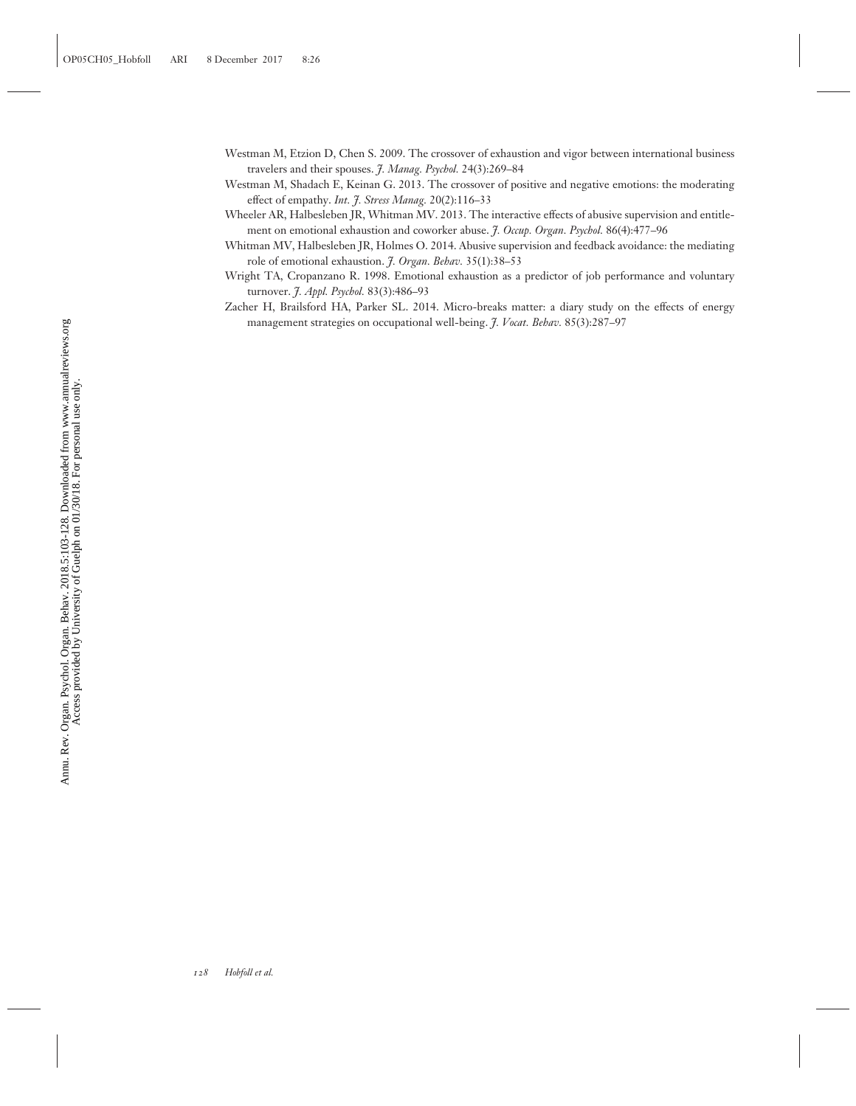- Westman M, Etzion D, Chen S. 2009. The crossover of exhaustion and vigor between international business travelers and their spouses. *J. Manag. Psychol.* 24(3):269–84
- Westman M, Shadach E, Keinan G. 2013. The crossover of positive and negative emotions: the moderating effect of empathy. *Int. J. Stress Manag.* 20(2):116–33
- Wheeler AR, Halbesleben JR, Whitman MV. 2013. The interactive effects of abusive supervision and entitlement on emotional exhaustion and coworker abuse. *J. Occup. Organ. Psychol.* 86(4):477–96
- Whitman MV, Halbesleben JR, Holmes O. 2014. Abusive supervision and feedback avoidance: the mediating role of emotional exhaustion. *J. Organ. Behav.* 35(1):38–53
- Wright TA, Cropanzano R. 1998. Emotional exhaustion as a predictor of job performance and voluntary turnover. *J. Appl. Psychol.* 83(3):486–93
- Zacher H, Brailsford HA, Parker SL. 2014. Micro-breaks matter: a diary study on the effects of energy management strategies on occupational well-being. *J. Vocat. Behav.* 85(3):287–97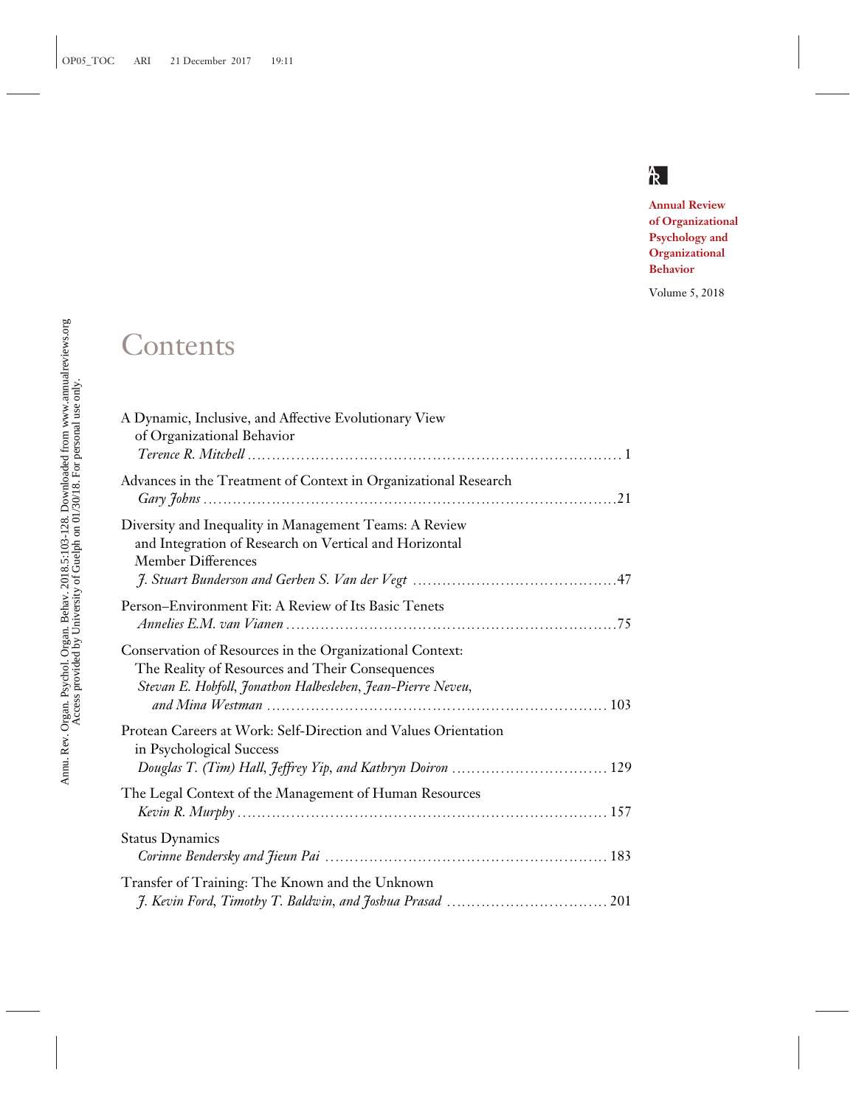

**Annual Review of Organizational Psychology and Organizational Behavior**

Volume 5, 2018

# **Contents**

| A Dynamic, Inclusive, and Affective Evolutionary View<br>of Organizational Behavior                                                                                        |
|----------------------------------------------------------------------------------------------------------------------------------------------------------------------------|
| Advances in the Treatment of Context in Organizational Research                                                                                                            |
| Diversity and Inequality in Management Teams: A Review<br>and Integration of Research on Vertical and Horizontal<br><b>Member Differences</b>                              |
| Person–Environment Fit: A Review of Its Basic Tenets                                                                                                                       |
| Conservation of Resources in the Organizational Context:<br>The Reality of Resources and Their Consequences<br>Stevan E. Hobfoll, Jonathon Halbesleben, Jean-Pierre Neveu, |
| Protean Careers at Work: Self-Direction and Values Orientation<br>in Psychological Success                                                                                 |
| The Legal Context of the Management of Human Resources                                                                                                                     |
| <b>Status Dynamics</b>                                                                                                                                                     |
| Transfer of Training: The Known and the Unknown                                                                                                                            |